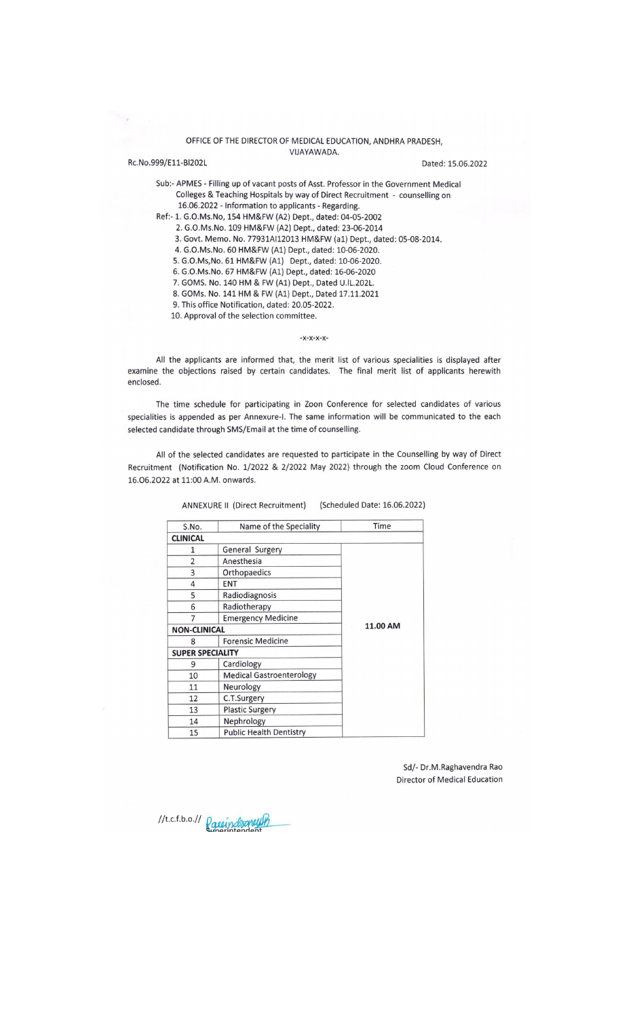#### OFFICE OF THE DIRECTOR OF MEDICAL EDUCATION, ANDHRA PRADESH, VIJAYAWADA.

Dated: 15.06.2022

Sub:- APMES - Filling up of vacant posts of Asst. Professor in the Government Medical Colleges & Teaching Hospitals by way of Direct Recruitment - counselling on 16.06.2022 - Information to applicants - Regarding. Ref:- 1. G.O.Ms.No, 154 HM&FW (A2) Dept., dated: 04-05-2002

2. G.O.Ms.No. 109 HM&FW (A2) Dept., dated: 23-06-2014

3. Govt. Memo. No. 77931AI12013 HM&FW (a1) Dept., dated: 05-08-2014.

4. G.O.Ms.No. 60 HM&FW (A1) Dept., dated: 10-06-2020.

5. G.O.Ms, No. 61 HM&FW (A1) Dept., dated: 10-06-2020.

6. G.O.Ms.No. 67 HM&FW (A1) Dept., dated: 16-06-2020

7. GOMS. No. 140 HM & FW (A1) Dept., Dated U.IL.202L.

8. GOMs. No. 141 HM & FW (A1) Dept., Dated 17.11.2021

9. This office Notification, dated: 20.05-2022.

10. Approval of the selection committee.

Rc.No.999/E11-BI202L

 $-X-X-X-X-$ 

All the applicants are informed that, the merit list of various specialities is displayed after examine the objections raised by certain candidates. The final merit list of applicants herewith enclosed.

The time schedule for participating in Zoon Conference for selected candidates of various specialities is appended as per Annexure-I. The same information will be communicated to the each selected candidate through SMS/Email at the time of counselling.

All of the selected candidates are requested to participate in the Counselling by way of Direct Recruitment (Notification No. 1/2022 & 2/2022 May 2022) through the zoom Cloud Conference on 16.06.2022 at 11:00 A.M. onwards.

| S.No.                   | Name of the Speciality          | Time     |
|-------------------------|---------------------------------|----------|
| <b>CLINICAL</b>         |                                 |          |
| 1                       | General Surgery                 |          |
| $\overline{\mathbf{c}}$ | Anesthesia                      |          |
| 3                       | Orthopaedics                    |          |
| 4                       | <b>ENT</b>                      |          |
| 5                       | Radiodiagnosis                  |          |
| 6                       | Radiotherapy                    |          |
| 7                       | <b>Emergency Medicine</b>       |          |
| <b>NON-CLINICAL</b>     |                                 | 11.00 AM |
| 8                       | <b>Forensic Medicine</b>        |          |
| <b>SUPER SPECIALITY</b> |                                 |          |
| 9                       | Cardiology                      |          |
| 10                      | <b>Medical Gastroenterology</b> |          |
| 11                      | Neurology                       |          |
| 12                      | C.T.Surgery                     |          |
| 13                      | <b>Plastic Surgery</b>          |          |
| 14                      | Nephrology                      |          |
| 15                      | <b>Public Health Dentistry</b>  |          |

ANNEXURE II (Direct Recruitment) (Scheduled Date: 16.06.2022)

Sd/- Dr.M.Raghavendra Rao **Director of Medical Education** 

//t.c.f.b.o.// Pareindraneut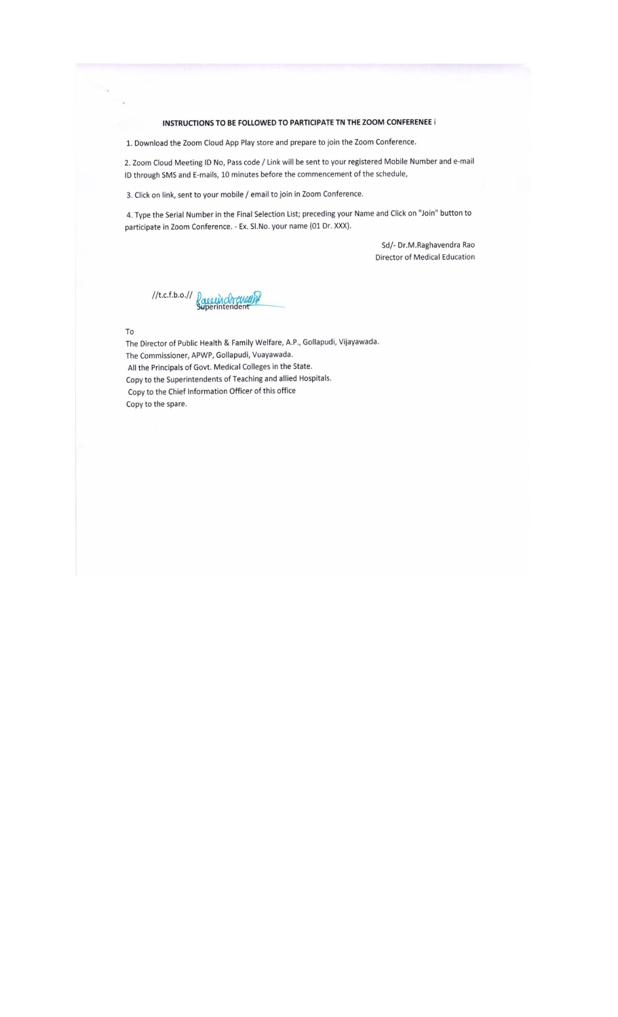#### INSTRUCTIONS TO BE FOLLOWED TO PARTICIPATE TN THE ZOOM CONFERENEE i

1. Download the Zoom Cloud App Play store and prepare to join the Zoom Conference.

2. Zoom Cloud Meeting ID No, Pass code / Link will be sent to your registered Mobile Number and e-mail ID through SMS and E-mails, 10 minutes before the commencement of the schedule,

3. Click on link, sent to your mobile / email to join in Zoom Conference.

4. Type the Serial Number in the Final Selection List; preceding your Name and Click on "Join" button to participate in Zoom Conference. - Ex. Sl.No. your name (01 Dr. XXX).

> Sd/- Dr.M.Raghavendra Rao Director of Medical Education

//t.c.f.b.o.// Passein chreueupf

 ${\tt To}$ 

The Director of Public Health & Family Welfare, A.P., Gollapudi, Vijayawada. The Commissioner, APWP, Gollapudi, Vuayawada. All the Principals of Govt. Medical Colleges in the State. Copy to the Superintendents of Teaching and allied Hospitals. Copy to the Chief Information Officer of this office Copy to the spare.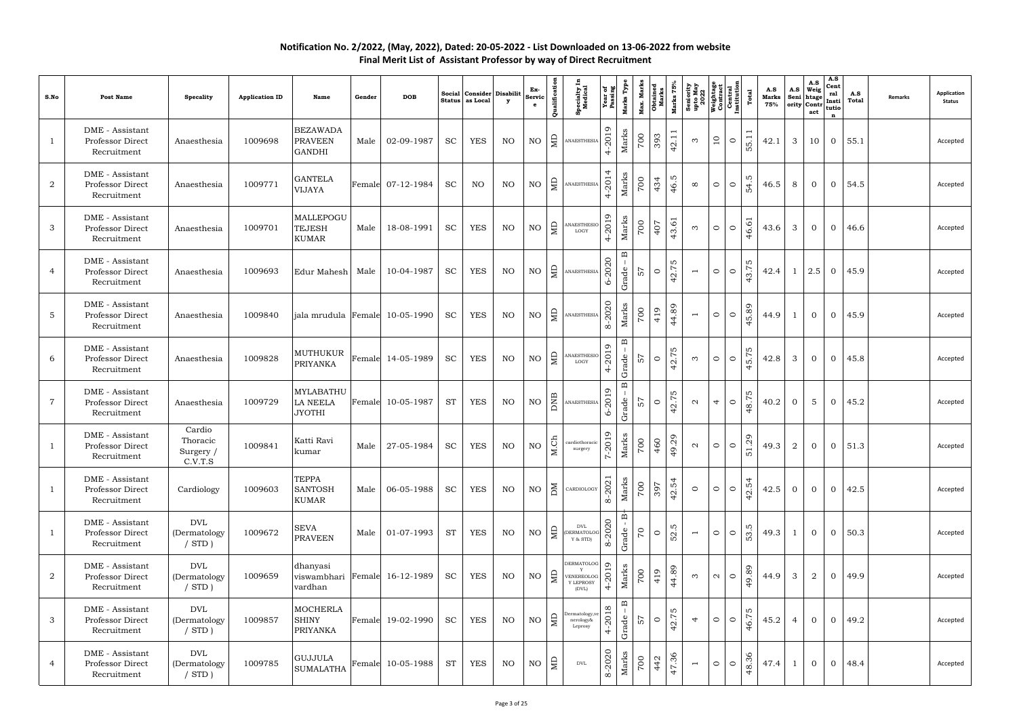| S.No           | <b>Post Name</b>                                   | <b>Specality</b>                           | <b>Application ID</b> | <b>Name</b>                                          | Gender          | <b>DOB</b>        | Social<br><b>Status</b> | Consider Disabilit<br>as Local | $\mathbf{y}$ | Ex-<br>Servic<br>$\mathbf{e}$ | Qualification   | <b>Specialty I</b><br>Medical                  | <b>Year of<br/>Passing</b>           | Marks Typ                                          | Max. Marks<br>Obtained<br>Marks | Marks 75%                               | Seniority<br>upto May<br>2022<br>2022<br>Weightage<br>Contrad<br>Central<br>Linstitution |         | Total       | A.S<br>Marks<br>75% | A.S            | A.S<br>Weig<br>Seni htage<br>ority Contr<br>act | A.S<br>Cent<br>ral<br>Insti<br>tutio<br>$\mathbf{r}$ | A.S<br>Total  | <b>Remarks</b> | <b>Application</b><br><b>Status</b> |
|----------------|----------------------------------------------------|--------------------------------------------|-----------------------|------------------------------------------------------|-----------------|-------------------|-------------------------|--------------------------------|--------------|-------------------------------|-----------------|------------------------------------------------|--------------------------------------|----------------------------------------------------|---------------------------------|-----------------------------------------|------------------------------------------------------------------------------------------|---------|-------------|---------------------|----------------|-------------------------------------------------|------------------------------------------------------|---------------|----------------|-------------------------------------|
|                | DME - Assistant<br>Professor Direct<br>Recruitment | Anaesthesia                                | 1009698               | <b>BEZAWADA</b><br><b>PRAVEEN</b><br><b>GANDHI</b>   | Male            | 02-09-1987        | <b>SC</b>               | <b>YES</b>                     | NO           | $\rm NO$                      | ЯD              | ANAESTHESIA                                    | $\circ$<br>$-201$<br>$\overline{4}$  | Marks                                              | 002                             | $\overline{\phantom{0}}$<br>393<br>42.1 | $\overline{10}$<br>$\infty$                                                              | $\circ$ | 55.1        | 42.1                | $\mathbf{3}$   | 10                                              | $\overline{0}$                                       | 55.1          |                | Accepted                            |
| $\overline{2}$ | DME - Assistant<br>Professor Direct<br>Recruitment | Anaesthesia                                | 1009771               | <b>GANTELA</b><br><b>VIJAYA</b>                      |                 | Female 07-12-1984 | <b>SC</b>               | NO                             | NO           | $\rm NO$                      | Ê               | ANAESTHESIA                                    | 2014<br>$\overline{+}$               | Marks                                              | 002                             | 46.5<br>434                             | $\circ$<br>$\infty$                                                                      | $\circ$ | ഗ<br>54.    | 46.5                | 8              | $\overline{0}$                                  | $\overline{0}$                                       | 54.5          |                | Accepted                            |
| 3              | DME - Assistant<br>Professor Direct<br>Recruitment | Anaesthesia                                | 1009701               | MALLEPOGU<br><b>TEJESH</b><br><b>KUMAR</b>           | Male            | 18-08-1991        | <b>SC</b>               | <b>YES</b>                     | NO           | NO                            | $\Xi$           | <b>NAESTHESIC</b><br>LOGY                      | 2019<br>$\downarrow$                 | Marks                                              | 00                              | 43.61<br>407                            | $\circ$<br>$\infty$                                                                      | $\circ$ | 46.6        | 43.6                | 3              | $\overline{0}$                                  | $\overline{0}$                                       | 46.6          |                | Accepted                            |
| 4              | DME - Assistant<br>Professor Direct<br>Recruitment | Anaesthesia                                | 1009693               | Edur Mahesh                                          | Male            | 10-04-1987        | <b>SC</b>               | <b>YES</b>                     | NO           | $\rm NO$                      | 且               | ANAESTHESIA                                    | 2020<br>৬                            | $\mathbf{\underline{\underline{\alpha}}}$<br>Grade | $\frac{1}{2}$                   | LO.<br>42.7<br>$\circ$                  | $\circ$<br>$\overline{\phantom{a}}$                                                      | $\circ$ | r.<br>43.7  | 42.4                | -1             | 2.5                                             | $\overline{0}$                                       | 45.9          |                | Accepted                            |
| $\overline{5}$ | DME - Assistant<br>Professor Direct<br>Recruitment | Anaesthesia                                | 1009840               | jala mrudula                                         | Female          | 10-05-1990        | <b>SC</b>               | <b>YES</b>                     | NO           | $\rm NO$                      | ЯD              | <b>ANAESTHESIA</b>                             | 2020<br>$\infty$                     | Marks                                              | 700                             | 44.89<br>419                            | $\circ$<br>$\overline{\phantom{a}}$                                                      | $\circ$ | 45.89       | 44.9                | $\overline{1}$ | $\overline{0}$                                  | $\overline{0}$                                       | 45.9          |                | Accepted                            |
| 6              | DME - Assistant<br>Professor Direct<br>Recruitment | Anaesthesia                                | 1009828               | <b>MUTHUKUR</b><br><b>PRIYANKA</b>                   | $\mbox{Female}$ | 14-05-1989        | <b>SC</b>               | <b>YES</b>                     | NO           | NO                            | $\Xi$           | ANAESTHESIC<br>LOGY                            | 2019<br>$\overline{a}$               | $\mathbf{\underline{\underline{\alpha}}}$<br>Grade | 57                              | LO.<br>42.7<br>$\circ$                  | $\circ$<br>$\infty$                                                                      | $\circ$ | r.<br>45.7  | 42.8                | 3              | $\overline{0}$                                  | $\overline{0}$                                       | 45.8          |                | Accepted                            |
| $\overline{7}$ | DME - Assistant<br>Professor Direct<br>Recruitment | Anaesthesia                                | 1009729               | <b>MYLABATHU</b><br>LA NEELA<br><b>JYOTHI</b>        | Female          | 10-05-1987        | <b>ST</b>               | <b>YES</b>                     | NO           | $\rm NO$                      | $\overline{AB}$ | ANAESTHESIA                                    | 19<br>$\overline{20}$<br>৬           | $\mathbf{\underline{m}}$<br>Grade                  | $\frac{1}{2}$                   | LO.<br>42.7<br>$\circ$                  | $\overline{4}$<br>$\mathbf{\Omega}$                                                      | $\circ$ | w<br>48.7   | 40.2                | $\overline{0}$ | 5                                               | $\overline{0}$                                       | 45.2          |                | Accepted                            |
|                | DME - Assistant<br>Professor Direct<br>Recruitment | Cardio<br>Thoracic<br>Surgery /<br>C.V.T.S | 1009841               | Katti Ravi<br>kumar                                  | Male            | 27-05-1984        | <b>SC</b>               | <b>YES</b>                     | NO           | NO                            | M.Ch            | cardiothoracic<br>surgery                      | 7-2019                               | Marks                                              | 007                             | 49.29<br>460                            | $\circ$<br>$\mathbf{\Omega}$                                                             | $\circ$ | 1.29<br>LO. | 49.3                | 2              | $\overline{0}$                                  | $\overline{0}$                                       | 51.3          |                | Accepted                            |
| $\mathbf{I}$   | DME - Assistant<br>Professor Direct<br>Recruitment | Cardiology                                 | 1009603               | <b>TEPPA</b><br><b>SANTOSH</b><br><b>KUMAR</b>       | Male            | 06-05-1988        | <b>SC</b>               | <b>YES</b>                     | NO           | $NO$ $\geq$                   |                 | CARDIOLOGY                                     | 202<br>$\infty$                      | Marks                                              | 700                             | 42.54<br>397                            | $\circ$<br>$\circ$                                                                       | $\circ$ | 42.54       | 42.5                | $\overline{0}$ | $\overline{0}$                                  | $\overline{0}$                                       | 42.5          |                | Accepted                            |
| 1              | DME - Assistant<br>Professor Direct<br>Recruitment | DVL<br>(Dermatology<br>$/$ STD $)$         | 1009672               | <b>SEVA</b><br><b>PRAVEEN</b>                        | Male            | 01-07-1993        | <b>ST</b>               | YES                            | NO           | $\rm NO$                      | $\vert$ $\Xi$   | DVL<br>DERMATOLOG<br>Y & STD)                  | -2020<br>$\infty$                    | $\Delta$<br>Grade                                  | $\mathcal{L}_{\mathcal{L}}$     | 52.5<br>$\circ$                         | $\circ$<br>$\overline{ }$                                                                | $\circ$ | 53.5        | 49.3                | -1             | $\overline{0}$                                  | $\overline{0}$                                       | 50.3          |                | Accepted                            |
| $\overline{2}$ | DME - Assistant<br>Professor Direct<br>Recruitment | DVL<br>(Dermatology<br>$/$ STD $)$         | 1009659               | dhanyasi<br>viswambhari Female 16-12-1989<br>vardhan |                 |                   | <b>SC</b>               | <b>YES</b>                     | NO           | NO                            | $\vert$ $\Xi$   | DERMATOLOG<br>VENEREOLOG<br>Y LEPROSY<br>(DVL) | $\circ$<br>$-201$<br>$\overline{4}$  | ${\rm \textit{Marks}}$                             | $rac{614}{10}$                  | 44.89                                   | $\sim$<br>$\infty$                                                                       | $\circ$ | 49.89       | 44.9                | 3              | $\overline{2}$                                  | $\overline{0}$                                       | 49.9          |                | Accepted                            |
| 3              | DME - Assistant<br>Professor Direct<br>Recruitment | DVL<br>(Dermatology<br>$/$ STD $)$         | 1009857               | <b>MOCHERLA</b><br><b>SHINY</b><br><b>PRIYANKA</b>   |                 | Female 19-02-1990 | <b>SC</b>               | <b>YES</b>                     | NO           | NO                            | l a             | Dermatology, ve<br>nerology&<br>Leprosy        | $\infty$<br>$-201$<br>$\overline{4}$ | $\mathbf{\underline{\square}}$<br>Grade            | 57                              | LO.<br>42.7<br>$\circ$                  | $\circ$<br>$\overline{4}$                                                                | $\circ$ | ഗ<br>46.7   | 45.2                | $\overline{4}$ | $\overline{0}$                                  | $\overline{0}$                                       | 49.2          |                | Accepted                            |
| 4              | DME - Assistant<br>Professor Direct<br>Recruitment | DVL<br>(Dermatology<br>$/$ STD $)$         | 1009785               | <b>GUJJULA</b><br><b>SUMALATHA</b>                   |                 | Female 10-05-1988 | <b>ST</b>               | YES                            | NO           | NO                            | CD              | DVL                                            | 8-2020                               | Marks                                              | 700                             | 47.36<br>442                            | $\circ$<br>$\overline{\phantom{0}}$                                                      | $\circ$ | 48.36       | 47.4                | 1              | $\overline{0}$                                  |                                                      | $0 \mid 48.4$ |                | Accepted                            |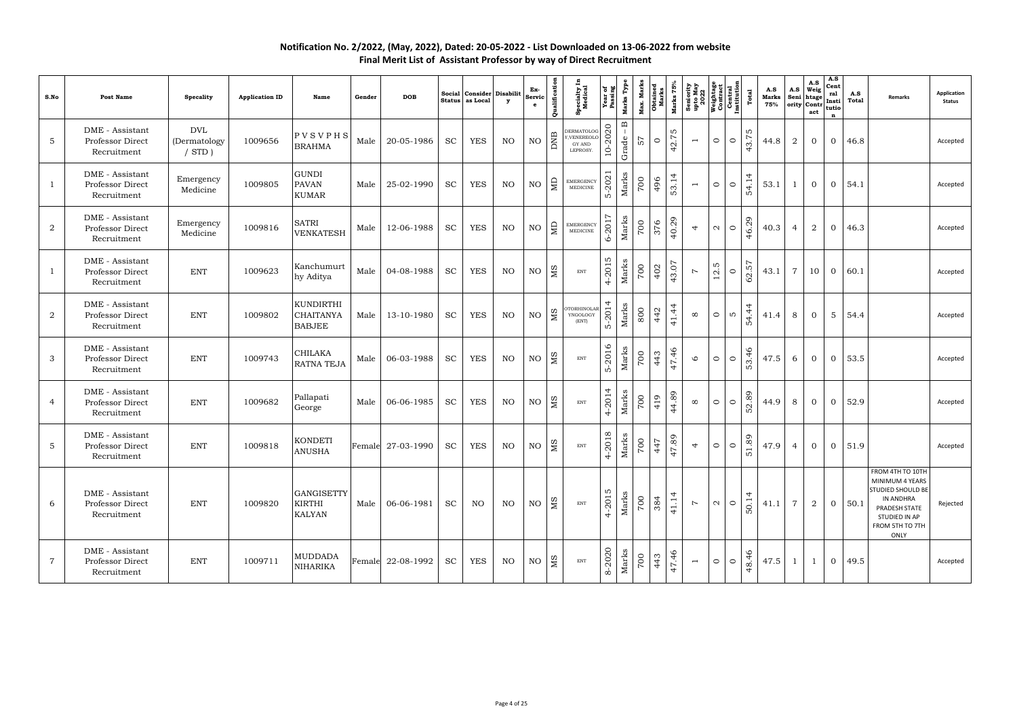| S.No           | Post Name                                          | <b>Specality</b>                          | <b>Application ID</b> | Name                                                  | Gender | <b>DOB</b>        | Social                      | Consider Disabilit<br>Status as Local | y  | Ex-<br>Servi<br>$\mathbf{e}$ | Qualification             | <b>Specialty I</b><br>Medical                                   | Year of<br>Passing           | Marks Type<br>Max. Marks   | <b>Obtained</b><br>Marks | Marks 75% | Seniority<br>upto May<br>2022<br>Neightage<br>Contract<br>Central<br>Linstitution<br>Institution |                              | Total       | A.S<br>Marks<br>75% | A.S<br>Seni    | A.S<br>$Weig$<br>htage<br>$\vert \text{ority} \vert \text{Contr} \vert \text{tutio} \vert$<br>act | A.S<br>Cent<br>ral<br>$\mathbf n$ | A.S<br>Total | Remarks                                                                                                                                   | <b>Application</b><br><b>Status</b> |
|----------------|----------------------------------------------------|-------------------------------------------|-----------------------|-------------------------------------------------------|--------|-------------------|-----------------------------|---------------------------------------|----|------------------------------|---------------------------|-----------------------------------------------------------------|------------------------------|----------------------------|--------------------------|-----------|--------------------------------------------------------------------------------------------------|------------------------------|-------------|---------------------|----------------|---------------------------------------------------------------------------------------------------|-----------------------------------|--------------|-------------------------------------------------------------------------------------------------------------------------------------------|-------------------------------------|
| $\overline{5}$ | DME - Assistant<br>Professor Direct<br>Recruitment | <b>DVL</b><br>(Dermatology<br>$/$ STD $)$ | 1009656               | PVSVPHS<br><b>BRAHMA</b>                              | Male   | 20-05-1986        | <b>SC</b>                   | <b>YES</b>                            | NO | NO                           | DNB                       | <b>DERMATOLOG</b><br>Y, VENEREOLO<br>${\rm GY}$ AND<br>LEPROSY. | 10-2020                      | $\mathbf m$<br>Grade<br>57 | $\circ$                  | 42.75     | $\overline{\phantom{a}}$                                                                         | $\circ$<br>$\circ$           | LO.<br>43.7 | 44.8                | 2              | $\overline{0}$                                                                                    | $\overline{0}$                    | 46.8         |                                                                                                                                           | Accepted                            |
| 1              | DME - Assistant<br>Professor Direct<br>Recruitment | Emergency<br>Medicine                     | 1009805               | <b>GUNDI</b><br><b>PAVAN</b><br><b>KUMAR</b>          | Male   | 25-02-1990        | <b>SC</b>                   | <b>YES</b>                            | NO | NO                           | $\mathop{\rm \mathbb{R}}$ | <b>EMERGENCY</b><br>MEDICINE                                    | $5 - 202$                    | Marks<br>700               | 496                      | 53.14     | $\overline{\phantom{a}}$                                                                         | $\circ$<br>$\circ$           | 54.14       | 53.1                | 1              | $\overline{0}$                                                                                    | $\overline{0}$                    | 54.1         |                                                                                                                                           | Accepted                            |
| $\overline{2}$ | DME - Assistant<br>Professor Direct<br>Recruitment | Emergency<br>Medicine                     | 1009816               | <b>SATRI</b><br>VENKATESH                             | Male   | 12-06-1988        | <b>SC</b>                   | <b>YES</b>                            | NO | NO                           | MD                        | <b>EMERGENCY</b><br>MEDICINE                                    | $\overline{z}$<br>$6 - 201'$ | Marks<br>700               | 376                      | 40.29     | $\overline{4}$                                                                                   | $\circ$<br>$\mathbf{\Omega}$ | 46.29       | 40.3                | 4              | 2                                                                                                 | $\overline{0}$                    | 46.3         |                                                                                                                                           | Accepted                            |
| $\mathbf{1}$   | DME - Assistant<br>Professor Direct<br>Recruitment | <b>ENT</b>                                | 1009623               | Kanchumurt<br>hy Aditya                               | Male   | 04-08-1988        | $\protect\operatorname{SC}$ | <b>YES</b>                            | NO | $\rm NO$                     | МS                        | ENT                                                             | $4 - 2015$                   | Marks<br>700               | 402                      | 43.07     | $\overline{ }$                                                                                   | 12.5<br>$\circ$              | 62.57       | 43.1                | $\overline{7}$ | 10                                                                                                | $\overline{0}$                    | 60.1         |                                                                                                                                           | Accepted                            |
| $\overline{2}$ | DME - Assistant<br>Professor Direct<br>Recruitment | <b>ENT</b>                                | 1009802               | <b>KUNDIRTHI</b><br><b>CHAITANYA</b><br><b>BABJEE</b> | Male   | 13-10-1980        | <b>SC</b>                   | <b>YES</b>                            | NO | NO                           | МS                        | <b>CORHINOLAR</b><br>YNGOLOGY<br>(ENT)                          | $5 - 2014$                   | Marks<br>800               | 442                      | 41.44     | $\infty$                                                                                         | $\circ$<br>S                 | 54.44       | 41.4                | 8              | $\overline{0}$                                                                                    | $5\overline{)}$                   | 54.4         |                                                                                                                                           | Accepted                            |
| 3              | DME - Assistant<br>Professor Direct<br>Recruitment | <b>ENT</b>                                | 1009743               | <b>CHILAKA</b><br><b>RATNA TEJA</b>                   | Male   | 06-03-1988        | <b>SC</b>                   | <b>YES</b>                            | NO | NO                           | МS                        | ENT                                                             | $5 - 2016$                   | Marks<br>700               | 443                      | 47.46     | $\circ$                                                                                          | $\circ$<br>$\circ$           | 53.46       | 47.5                | 6              | $\overline{0}$                                                                                    | $\overline{0}$                    | 53.5         |                                                                                                                                           | Accepted                            |
| 4              | DME - Assistant<br>Professor Direct<br>Recruitment | <b>ENT</b>                                | 1009682               | Pallapati<br>George                                   | Male   | 06-06-1985        | <b>SC</b>                   | <b>YES</b>                            | NO | NO                           | МS                        | <b>ENT</b>                                                      | 4-2014                       | Marks<br>700               | 419                      | 44.89     | $\infty$                                                                                         | $\circ$<br>$\circ$           | 52.89       | 44.9                | 8              | $\overline{0}$                                                                                    | $\overline{0}$                    | 52.9         |                                                                                                                                           | Accepted                            |
| $\overline{5}$ | DME - Assistant<br>Professor Direct<br>Recruitment | <b>ENT</b>                                | 1009818               | <b>KONDETI</b><br><b>ANUSHA</b>                       |        | Female 27-03-1990 | <b>SC</b>                   | <b>YES</b>                            | NO | NO                           | M <sub>S</sub>            | <b>ENT</b>                                                      | 4-2018                       | Marks<br>700               | 447                      | 47.89     | 4                                                                                                | $\circ$<br>$\circ$           | 51.89       | 47.9                | 4              | $\overline{0}$                                                                                    | $\overline{0}$                    | 51.9         |                                                                                                                                           | Accepted                            |
| 6              | DME - Assistant<br>Professor Direct<br>Recruitment | <b>ENT</b>                                | 1009820               | <b>GANGISETTY</b><br><b>KIRTHI</b><br><b>KALYAN</b>   | Male   | 06-06-1981        | <b>SC</b>                   | NO                                    | NO | NO                           | SM                        | <b>ENT</b>                                                      | 4-2015                       | Marks<br>700               | 384                      | 41.14     | $\overline{r}$                                                                                   | $\circ$<br>$\mathbf{C}$      | 4<br>50.1   | 41.1                | $\overline{7}$ | 2                                                                                                 | $\overline{0}$                    | 50.1         | FROM 4TH TO 10TH<br>MINIMUM 4 YEARS<br><b>STUDIED SHOULD BE</b><br>IN ANDHRA<br>PRADESH STATE<br>STUDIED IN AP<br>FROM 5TH TO 7TH<br>ONLY | Rejected                            |
| $\overline{7}$ | DME - Assistant<br>Professor Direct<br>Recruitment | <b>ENT</b>                                | 1009711               | <b>MUDDADA</b><br><b>NIHARIKA</b>                     |        | Female 22-08-1992 | <b>SC</b>                   | <b>YES</b>                            | NO | $\rm NO$                     | SM                        | <b>ENT</b>                                                      | 8-2020                       | Marks<br>700               | 443                      | 47.46     | $\overline{\phantom{0}}$                                                                         | $\circ$<br>$\circ$           | 48.46       | 47.5                | $\mathbf{1}$   | 1                                                                                                 | $\overline{0}$                    | 49.5         |                                                                                                                                           | Accepted                            |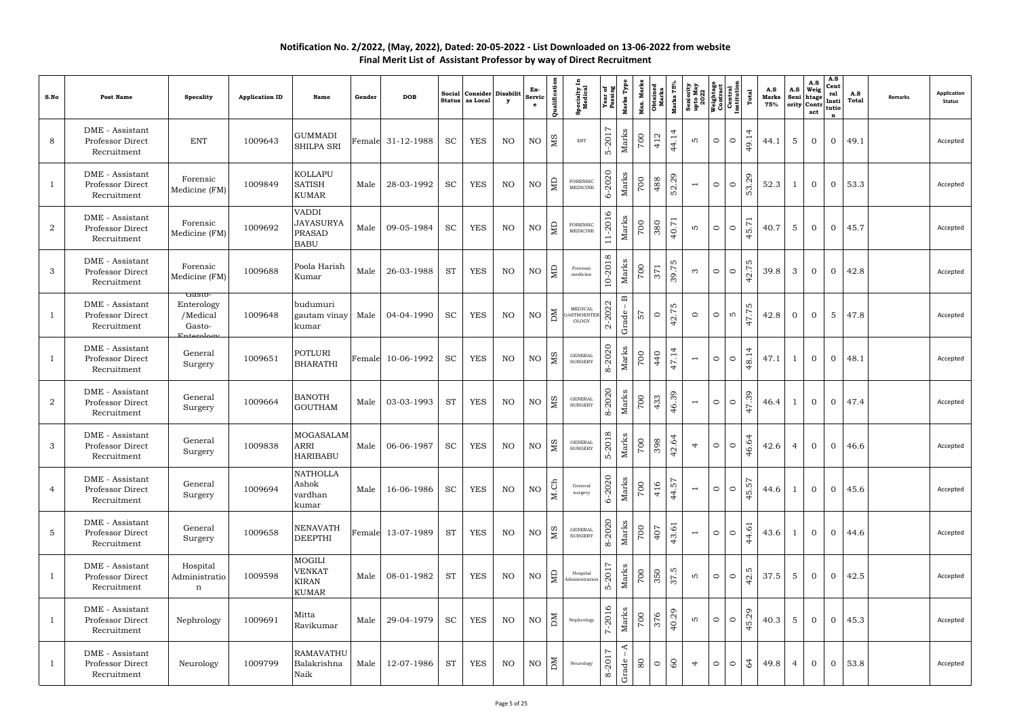| S.No           | <b>Post Name</b>                                   | <b>Specality</b>                           | <b>Application ID</b> | Name                                                             | Gender | <b>DOB</b>        | Social<br><b>Status</b> | Consider Disabilit<br>as Local | $\mathbf{y}$ | Ex-<br>Servic<br>$\mathbf{e}$ | Qualification           | <b>Specialty I</b><br>Medical                | Year of<br>Passing           | Marks Type                               | Max. Marks | Marks $75%$<br><b>Obtained</b><br>Marks | Seniority<br>upto May<br>2022 | Weightage<br>Contract<br>Central<br>Institution |         | Total         | A.S<br>Marks<br>75% | A.S<br>Seni<br>ority | A.S<br>Weig<br>htage<br>Contr<br>act | A.S<br>Cent<br>ral<br>Insti<br>tutio<br>$\mathbf n$ | A.S<br>Total | <b>Remarks</b> | <b>Application</b><br><b>Status</b> |
|----------------|----------------------------------------------------|--------------------------------------------|-----------------------|------------------------------------------------------------------|--------|-------------------|-------------------------|--------------------------------|--------------|-------------------------------|-------------------------|----------------------------------------------|------------------------------|------------------------------------------|------------|-----------------------------------------|-------------------------------|-------------------------------------------------|---------|---------------|---------------------|----------------------|--------------------------------------|-----------------------------------------------------|--------------|----------------|-------------------------------------|
| 8              | DME - Assistant<br>Professor Direct<br>Recruitment | <b>ENT</b>                                 | 1009643               | <b>GUMMADI</b><br>SHILPA SRI                                     |        | Female 31-12-1988 | <b>SC</b>               | <b>YES</b>                     | NO           | $\rm NO$                      | МS                      | <b>ENT</b>                                   | L<br>$5 - 201'$              | Marks                                    | 700        | 44.14<br>412                            | LO <sub>1</sub>               | $\circ$                                         | $\circ$ | 4<br>49.1     | 44.1                | $5\phantom{.0}$      | $\overline{0}$                       | $\overline{0}$                                      | 49.1         |                | Accepted                            |
| 1              | DME - Assistant<br>Professor Direct<br>Recruitment | Forensic<br>Medicine (FM)                  | 1009849               | <b>KOLLAPU</b><br><b>SATISH</b><br><b>KUMAR</b>                  | Male   | 28-03-1992        | <b>SC</b>               | <b>YES</b>                     | NO           | NO                            | $\Xi$                   | <b>FORENSIC</b><br>MEDICINE                  | $-2020$<br>ى                 | Marks                                    | 700        | 52.29<br>488                            | $\overline{\phantom{a}}$      | $\circ$                                         | $\circ$ | 53.29         | 52.3                |                      | $\overline{0}$                       | $\overline{0}$                                      | 53.3         |                | Accepted                            |
| 2              | DME - Assistant<br>Professor Direct<br>Recruitment | Forensic<br>Medicine (FM)                  | 1009692               | <b>VADDI</b><br><b>JAYASURYA</b><br><b>PRASAD</b><br><b>BABU</b> | Male   | 09-05-1984        | <b>SC</b>               | <b>YES</b>                     | NO           | $\rm NO$                      | ЯD                      | FORENSIC<br>MEDICINE                         | $\overline{16}$<br>$11 - 20$ | Marks                                    | 700        | 40.71<br>380                            | LO <sub>1</sub>               | $\circ$                                         | $\circ$ | 45.7          | 40.7                | $5\phantom{.0}$      | $\overline{0}$                       | $\overline{0}$                                      | 45.7         |                | Accepted                            |
| 3              | DME - Assistant<br>Professor Direct<br>Recruitment | Forensic<br>Medicine (FM)                  | 1009688               | Poola Harish<br>Kumar                                            | Male   | 26-03-1988        | <b>ST</b>               | <b>YES</b>                     | NO.          | NO                            | $\Xi$                   | Forensic<br>medicine                         | 10-2018                      | Marks                                    | 700        | 39.75<br>371                            | $\infty$                      | $\circ$                                         | $\circ$ | w<br>42.7     | 39.8                | 3                    | $\overline{0}$                       | $\overline{0}$                                      | 42.8         |                | Accepted                            |
| $\mathbf{1}$   | DME - Assistant<br>Professor Direct<br>Recruitment | Gasto-<br>Enterology<br>/Medical<br>Gasto- | 1009648               | budumuri<br>gautam vinay<br>kumar                                | Male   | 04-04-1990        | <b>SC</b>               | <b>YES</b>                     | NO           | NO                            | DМ                      | MEDICAL<br><b>ASTROENTER</b><br><b>OLOGY</b> | 2022<br>$\alpha$             | $\mathbf{\underline{\upomega}}$<br>Grade | 57         | S<br>42.7<br>$\circ$                    | $\circ$                       | $\circ$                                         | LO.     | w<br>47.7     | 42.8                | $\overline{0}$       | $\overline{0}$                       | 5                                                   | 47.8         |                | Accepted                            |
| $\mathbf{1}$   | DME - Assistant<br>Professor Direct<br>Recruitment | General<br>Surgery                         | 1009651               | <b>POTLURI</b><br><b>BHARATHI</b>                                |        | Female 10-06-1992 | <b>SC</b>               | <b>YES</b>                     | NO.          | NO                            | МS                      | <b>GENERAI</b><br><b>SURGERY</b>             | $-2020$<br>$\infty$          | Marks                                    | 700        | 47.14<br>440                            | $\overline{\phantom{a}}$      | $\circ$                                         | $\circ$ | 4<br>48.1     | 47.1                |                      | $\overline{0}$                       | $\overline{0}$                                      | 48.1         |                | Accepted                            |
| 2              | DME - Assistant<br>Professor Direct<br>Recruitment | General<br>Surgery                         | 1009664               | <b>BANOTH</b><br><b>GOUTHAM</b>                                  | Male   | 03-03-1993        | <b>ST</b>               | <b>YES</b>                     | NO.          | $\rm NO$                      | МS                      | <b>GENERAL</b><br><b>SURGERY</b>             | 8-2020                       | Marks                                    | 700        | 46.39<br>433                            | $\overline{\phantom{a}}$      | $\circ$                                         | $\circ$ | 47.39         | 46.4                | -1                   | $\overline{0}$                       | $\overline{0}$                                      | 47.4         |                | Accepted                            |
| 3              | DME - Assistant<br>Professor Direct<br>Recruitment | General<br>Surgery                         | 1009838               | <b>MOGASALAM</b><br><b>ARRI</b><br>HARIBABU                      | Male   | 06-06-1987        | <b>SC</b>               | <b>YES</b>                     | NO           | NO                            | M <sub>S</sub>          | <b>GENERAL</b><br><b>SURGERY</b>             | 5-2018                       | Marks                                    | 700        | 42.64<br>398                            | 4                             | $\circ$                                         | $\circ$ | 46.64         | 42.6                | $\overline{4}$       | $\overline{0}$                       | $\overline{0}$                                      | 46.6         |                | Accepted                            |
| 4              | DME - Assistant<br>Professor Direct<br>Recruitment | General<br>Surgery                         | 1009694               | <b>NATHOLLA</b><br>Ashok<br>vardhan<br>kumar                     | Male   | 16-06-1986        | <b>SC</b>               | YES                            | NO           | $\rm NO$                      | M.Ch                    | General<br>surgery                           | 6-2020                       | Marks                                    | 700        | 44.57<br>416                            | $\overline{\phantom{a}}$      | $\circ$                                         | $\circ$ | 45.57         | 44.6                | -1                   | $\overline{0}$                       | $\overline{0}$                                      | 45.6         |                | Accepted                            |
| $\overline{5}$ | DME - Assistant<br>Professor Direct<br>Recruitment | General<br>Surgery                         | 1009658               | <b>NENAVATH</b><br><b>DEEPTHI</b>                                |        | Female 13-07-1989 | <b>ST</b>               | YES                            | NO           | $\rm NO$                      | $\overline{\mathbf{M}}$ | <b>GENERAL</b><br><b>SURGERY</b>             | 2020<br>$\infty$             | Marks                                    | 00         | 43.61<br>407                            | $\overline{\phantom{a}}$      | $\circ$                                         | $\circ$ | 44.6          | 43.6                | -1                   | $\overline{0}$                       | $\overline{0}$                                      | 44.6         |                | Accepted                            |
| $\mathbf{1}$   | DME - Assistant<br>Professor Direct<br>Recruitment | Hospital<br>Administratio<br>$\mathbf n$   | 1009598               | MOGILI<br><b>VENKAT</b><br>KIRAN<br><b>KUMAR</b>                 | Male   | 08-01-1982        | <b>ST</b>               | <b>YES</b>                     | NO           | NO                            | $\Box$                  | Hospital<br>Administration                   | 201<br>ທ່                    | Marks                                    | 00         | 37.5<br>350                             | LO                            | $\circ$                                         | $\circ$ | w<br>42.      | 37.5                | $5\overline{)}$      | $\overline{0}$                       | $\overline{0}$                                      | 42.5         |                | Accepted                            |
| $\mathbf{1}$   | DME - Assistant<br>Professor Direct<br>Recruitment | Nephrology                                 | 1009691               | Mitta<br>Ravikumar                                               | Male   | 29-04-1979        | <b>SC</b>               | YES                            | NO           | NO                            | $\overline{M}$          | Nephrology                                   | $\circ$<br>7-201             | Marks                                    | 00         | 40.29<br>376                            | LO.                           | $\circ$                                         | $\circ$ | 45.29         | 40.3                | $5\overline{)}$      | $\overline{0}$                       | $\overline{0}$                                      | 45.3         |                | Accepted                            |
| 1              | DME - Assistant<br>Professor Direct<br>Recruitment | Neurology                                  | 1009799               | <b>RAMAVATHU</b><br>Balakrishna<br>Naik                          | Male   | 12-07-1986        | <b>ST</b>               | YES                            | NO           | NO                            | $\overline{\mathbb{M}}$ | Neurology                                    | L<br>8-201                   | $\blacktriangleleft$<br>Grade            | 80         | 60<br>$\circ$                           | $\overline{4}$                | $\circ$                                         | $\circ$ | $\mathcal{Q}$ | 49.8                | 4                    | $\overline{0}$                       | $\overline{0}$                                      | 53.8         |                | Accepted                            |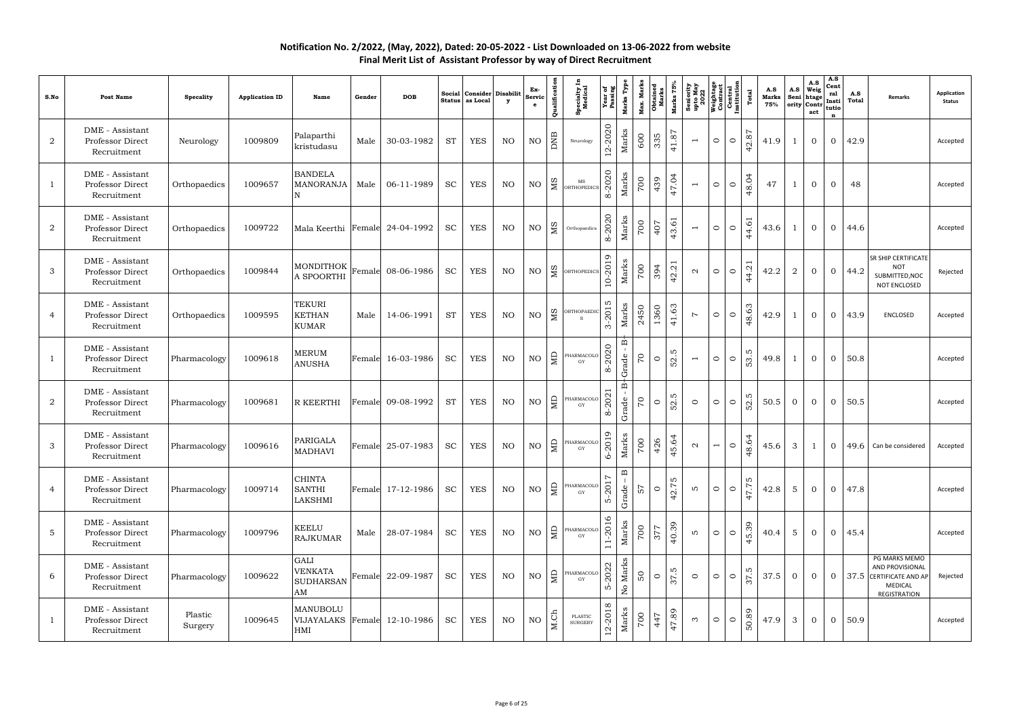| S.No             | <b>Post Name</b>                                   | <b>Specality</b>   | <b>Application ID</b> | Name                                             | Gender | <b>DOB</b>        | Social<br><b>Status</b> | Consider Disabilit<br>as Local | $\mathbf{y}$ | Ex-<br>Servi<br>$\mathbf{e}$ | Qualification  | <b>Specialty I</b><br>Medical     | Year of<br>Passing       | Marks Type                        | <b>Max. Marks<br/>Obtained<br/>Marks</b> | Marks 75%        | Seniority<br>upto May<br>2022<br>Weightage<br>Contract<br>Central<br>Linstitution |                |         | Total                            | A.S<br><b>Marks</b><br>75% | A.S<br>Seni<br>ority | $A.S$<br>Weig<br>htage<br>Contr<br>act | A.S<br>Cent<br>ral<br>Insti<br>tutio<br>$\mathbf n$ | A.S<br>Total | Remarks                                                                                | <b>Application</b><br><b>Status</b> |
|------------------|----------------------------------------------------|--------------------|-----------------------|--------------------------------------------------|--------|-------------------|-------------------------|--------------------------------|--------------|------------------------------|----------------|-----------------------------------|--------------------------|-----------------------------------|------------------------------------------|------------------|-----------------------------------------------------------------------------------|----------------|---------|----------------------------------|----------------------------|----------------------|----------------------------------------|-----------------------------------------------------|--------------|----------------------------------------------------------------------------------------|-------------------------------------|
| $\boldsymbol{2}$ | DME - Assistant<br>Professor Direct<br>Recruitment | Neurology          | 1009809               | Palaparthi<br>kristudasu                         | Male   | 30-03-1982        | <b>ST</b>               | <b>YES</b>                     | NO           | NO                           | DNB            | Neurology                         | $-2020$<br>$12-$         | Marks                             | 335<br>600                               | 41.87            | $\overline{\phantom{m}}$                                                          | $\circ$        | $\circ$ | 42.87                            | 41.9                       | -1                   | $\overline{0}$                         | $\overline{0}$                                      | 42.9         |                                                                                        | Accepted                            |
| 1                | DME - Assistant<br>Professor Direct<br>Recruitment | Orthopaedics       | 1009657               | <b>BANDELA</b><br><b>MANORANJA</b>               | Male   | 06-11-1989        | <b>SC</b>               | <b>YES</b>                     | NO           | $\rm NO$                     | M <sub>S</sub> | $_{\rm MS}$<br><b>ORTHOPEDICS</b> | 2020<br>$\infty$         | Marks                             | 700<br>439                               | 47.04            | $\overline{\phantom{a}}$                                                          | $\circ$        | $\circ$ | 48.04                            | 47                         |                      | $\overline{0}$                         | $\overline{0}$                                      | 48           |                                                                                        | Accepted                            |
| $\overline{2}$   | DME - Assistant<br>Professor Direct<br>Recruitment | Orthopaedics       | 1009722               | Mala Keerthi Female 24-04-1992                   |        |                   | <b>SC</b>               | <b>YES</b>                     | NO           | NO                           | МS             | Orthopaedics                      | 2020<br>$\infty$         | Marks                             | 700<br>407                               | 43.61            | $\overline{\phantom{a}}$                                                          | $\circ$        | $\circ$ | 44.6                             | 43.6                       | 1                    | $\overline{0}$                         | $\overline{0}$                                      | 44.6         |                                                                                        | Accepted                            |
| 3                | DME - Assistant<br>Professor Direct<br>Recruitment | Orthopaedics       | 1009844               | <b>MONDITHOK</b><br>A SPOORTHI                   |        | Female 08-06-1986 | <b>SC</b>               | <b>YES</b>                     | NO           | $\rm NO$                     | SM             | ORTHOPEDICS                       | 10-2019                  | Marks                             | 700<br>394                               | 42.21            | $\mathbf{\Omega}$                                                                 | $\circ$        | $\circ$ | $\overline{\phantom{0}}$<br>44.2 | 42.2                       | 2                    | $\overline{0}$                         | $\overline{0}$                                      | 44.2         | SR SHIP CERTIFICATE<br><b>NOT</b><br>SUBMITTED, NOC<br>NOT ENCLOSED                    | Rejected                            |
| 4                | DME - Assistant<br>Professor Direct<br>Recruitment | Orthopaedics       | 1009595               | <b>TEKURI</b><br><b>KETHAN</b><br><b>KUMAR</b>   | Male   | 14-06-1991        | <b>ST</b>               | <b>YES</b>                     | NO           | $\rm NO$                     | M <sub>S</sub> | <b>ORTHOPAEDI</b>                 | m<br>201<br>က်           | Marks                             | 1360<br>2450                             | 41.63            | $\overline{z}$                                                                    | $\circ$        | $\circ$ | 48.63                            | 42.9                       | 1                    | $\overline{0}$                         | $\overline{0}$                                      | 43.9         | <b>ENCLOSED</b>                                                                        | Accepted                            |
|                  | DME - Assistant<br>Professor Direct<br>Recruitment | Pharmacology       | 1009618               | <b>MERUM</b><br><b>ANUSHA</b>                    |        | Female 16-03-1986 | <b>SC</b>               | <b>YES</b>                     | NO           | $\rm NO$                     | $\Xi$          | PHARMACOLC<br>GY                  | 2020<br>$\infty$         | മ<br>Grade                        | $\mathcal{L}_{\mathcal{L}}$<br>$\circ$   | S<br>52.         | $\overline{\phantom{a}}$                                                          | $\circ$        | $\circ$ | w<br>53.                         | 49.8                       | -1                   | $\overline{0}$                         | $\overline{0}$                                      | 50.8         |                                                                                        | Accepted                            |
| $\boldsymbol{2}$ | DME - Assistant<br>Professor Direct<br>Recruitment | Pharmacology       | 1009681               | R KEERTHI                                        |        | Female 09-08-1992 | <b>ST</b>               | <b>YES</b>                     | NO           | $\rm NO$                     | $\Xi$          | PHARMACOLC<br>$\rm GY$            | 202<br>$\infty$          | ∞<br>Grade                        | $\overline{C}$                           | 52.5<br>$\circ$  | $\circ$                                                                           | $\circ$        | $\circ$ | 52.5                             | 50.5                       | $\overline{0}$       | $\overline{0}$                         | $\overline{0}$                                      | 50.5         |                                                                                        | Accepted                            |
| 3                | DME - Assistant<br>Professor Direct<br>Recruitment | Pharmacology       | 1009616               | PARIGALA<br><b>MADHAVI</b>                       |        | Female 25-07-1983 | <b>SC</b>               | <b>YES</b>                     | NO           | NO                           | $\Xi$          | PHARMACOLO<br>$\rm GY$            | 6-2019                   | Marks                             | 426<br>700                               | 45.64            | $\mathbf{\Omega}$                                                                 | $\overline{ }$ | $\circ$ | 48.64                            | 45.6                       | 3                    | $\mathbf{1}$                           | $\overline{0}$                                      |              | 49.6 Can be considered                                                                 | Accepted                            |
| 4                | DME - Assistant<br>Professor Direct<br>Recruitment | Pharmacology       | 1009714               | <b>CHINTA</b><br><b>SANTHI</b><br>LAKSHMI        |        | Female 17-12-1986 | <b>SC</b>               | <b>YES</b>                     | NO           | $\rm NO$                     | $\Box$         | PHARMACOLO<br>GY                  | $-201$<br>$\overline{D}$ | $\mathbf{\underline{m}}$<br>Grade | 75                                       | 42.75<br>$\circ$ | LO.                                                                               | $\circ$        | $\circ$ | 47.75                            | 42.8                       | 5                    | $\overline{0}$                         | $\overline{0}$                                      | 47.8         |                                                                                        | Accepted                            |
| $\overline{5}$   | DME - Assistant<br>Professor Direct<br>Recruitment | Pharmacology       | 1009796               | <b>KEELU</b><br><b>RAJKUMAR</b>                  | Male   | 28-07-1984        | <b>SC</b>               | <b>YES</b>                     | NO           | $\rm NO$                     | $\Box$         | PHARMACOLO<br>GY                  | 11-2016                  | Marks                             | 00<br><b>S77</b>                         | 40.39            | LO.                                                                               | $\circ$        | $\circ$ | 45.39                            | 40.4                       | 5                    | $\overline{0}$                         | $\overline{0}$                                      | 45.4         |                                                                                        | Accepted                            |
| 6                | DME - Assistant<br>Professor Direct<br>Recruitment | Pharmacology       | 1009622               | GALI<br><b>VENKATA</b><br><b>SUDHARSAN</b><br>AM |        | Female 22-09-1987 | <b>SC</b>               | <b>YES</b>                     | NO           | $\rm NO$                     | $\vert$ g      | PHARMACOLO<br>$\rm GY$            | 2022<br>$\overline{D}$   | Marks<br>$\rm _{N}^{\circ}$       | SO                                       | 37.5<br>$\circ$  | $\circ$                                                                           | $\circ$        | $\circ$ | 37.5                             | 37.5                       | $\overline{0}$       | $\overline{0}$                         | $\overline{0}$                                      |              | PG MARKS MEMO<br>AND PROVISIONAL<br>37.5 CERTIFICATE AND AP<br>MEDICAL<br>REGISTRATION | Rejected                            |
|                  | DME - Assistant<br>Professor Direct<br>Recruitment | Plastic<br>Surgery | 1009645               | MANUBOLU<br>VIJAYALAKS Female 12-10-1986<br>HMI  |        |                   | <b>SC</b>               | YES                            | NO           | $\rm NO$                     | M.Ch           | PLASTIC<br><b>SURGERY</b>         | $\infty$<br>$12 - 20$    | Marks                             | 700                                      | 47.89<br>447     | $\infty$                                                                          | $\circ$        | $\circ$ | 50.89                            | 47.9                       | $\mathbf{3}$         | $\overline{0}$                         | $\overline{0}$                                      | 50.9         |                                                                                        | Accepted                            |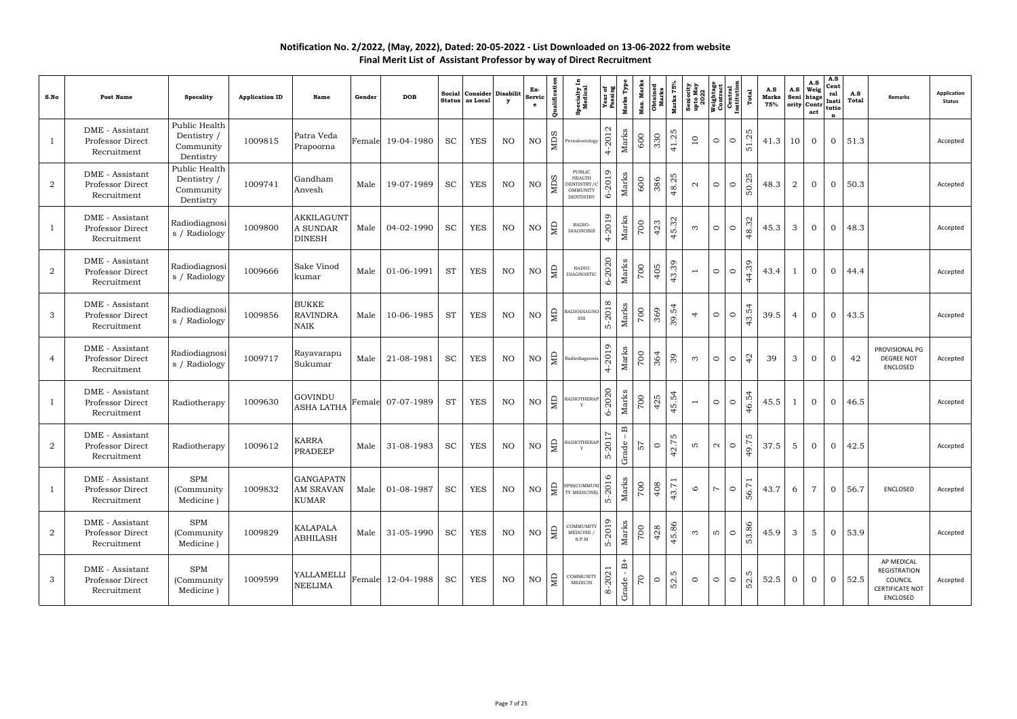| S.No           | <b>Post Name</b>                                   | <b>Specality</b>                                       | <b>Application ID</b> | Name                                           | Gender | <b>DOB</b>        |           | Social Consider Disabilit<br>Status as Local | $\mathbf{y}$ | Ex-<br>Servio<br>$\mathbf{e}$ | Qualification  | <b>Specialty I</b><br>Medical                                                        | Year of<br>Passing          | Marks Type<br>Max. Marks                             | <b>Obtained</b><br>Marks | Marks 75% | Seniority<br>upto May<br>2022<br>Weightage<br>Contrad<br>Central<br>Linstitution<br>Institution |                   |         | Total         | A.S<br><b>Marks</b><br>75% | A.S<br>Seni     | A.S<br>Weig<br>htage<br>ority Contr<br>act | A.S<br>Cent<br>ral<br>Insti<br>tutio<br>$\mathbf n$ | A.S<br>Total  | Remarks                                                                     | <b>Application</b><br><b>Status</b> |
|----------------|----------------------------------------------------|--------------------------------------------------------|-----------------------|------------------------------------------------|--------|-------------------|-----------|----------------------------------------------|--------------|-------------------------------|----------------|--------------------------------------------------------------------------------------|-----------------------------|------------------------------------------------------|--------------------------|-----------|-------------------------------------------------------------------------------------------------|-------------------|---------|---------------|----------------------------|-----------------|--------------------------------------------|-----------------------------------------------------|---------------|-----------------------------------------------------------------------------|-------------------------------------|
| $\mathbf{1}$   | DME - Assistant<br>Professor Direct<br>Recruitment | Public Health<br>Dentistry /<br>Community<br>Dentistry | 1009815               | Patra Veda<br>Prapoorna                        | Female | 19-04-1980        | <b>SC</b> | <b>YES</b>                                   | NO           | $\rm NO$                      | <b>NIDS</b>    | Periodontology                                                                       | $\mathbf{\Omega}$<br>4-2013 | Marks<br>600                                         | 330                      | 41.25     | 10                                                                                              | $\circ$           | $\circ$ | 5<br>51.2     | 41.3                       | 10              | $\overline{0}$                             | $\overline{0}$                                      | 51.3          |                                                                             | Accepted                            |
| $\overline{2}$ | DME - Assistant<br>Professor Direct<br>Recruitment | Public Health<br>Dentistry /<br>Community<br>Dentistry | 1009741               | Gandham<br>Anvesh                              | Male   | 19-07-1989        | <b>SC</b> | <b>YES</b>                                   | NO.          | NO                            | <b>NIDS</b>    | <b>PUBLIC</b><br><b>HEALTH</b><br>DENTISTRY/C<br><b>OMMUNITY</b><br><b>DENTISTRY</b> | 6-2019                      | Marks<br>600                                         | 386                      | 48.25     | $\mathbf{\Omega}$                                                                               | $\circ$           | $\circ$ | 5<br>50.2     | 48.3                       | 2               | $\overline{0}$                             | $\overline{0}$                                      | 50.3          |                                                                             | Accepted                            |
| $\mathbf{1}$   | DME - Assistant<br>Professor Direct<br>Recruitment | Radiodiagnosi<br>s / Radiology                         | 1009800               | AKKILAGUNT<br>A SUNDAR<br><b>DINESH</b>        | Male   | 04-02-1990        | <b>SC</b> | <b>YES</b>                                   | NO.          | NO                            | $\overline{M}$ | RADIO-<br><b>DIAGNOSIS</b>                                                           | 4-2019                      | Marks<br>700                                         | 423                      | 45.32     | $\infty$                                                                                        | $\circ$           | $\circ$ | 48.32         | 45.3                       | 3               | $\overline{0}$                             | $\overline{0}$                                      | 48.3          |                                                                             | Accepted                            |
| $\overline{2}$ | DME - Assistant<br>Professor Direct<br>Recruitment | Radiodiagnosi<br>s / Radiology                         | 1009666               | Sake Vinod<br>kumar                            | Male   | 01-06-1991        | <b>ST</b> | <b>YES</b>                                   | NO.          | $\rm NO$                      | $\Xi$          | <b>RADIO</b><br><b>DIAGNOSTIC</b>                                                    | 2020<br>৬                   | Marks<br>700                                         | 405                      | 43.39     | $\overline{\phantom{a}}$                                                                        | $\circ$           | $\circ$ | 44.39         | 43.4                       | -1              | $\overline{0}$                             | $\overline{0}$                                      | 44.4          |                                                                             | Accepted                            |
| 3              | DME - Assistant<br>Professor Direct<br>Recruitment | Radiodiagnosi<br>s / Radiology                         | 1009856               | <b>BUKKE</b><br><b>RAVINDRA</b><br><b>NAIK</b> | Male   | 10-06-1985        | <b>ST</b> | <b>YES</b>                                   | NO           | NO                            | $\Box$         | RADIODIAGNO<br>SIS                                                                   | 5-2018                      | Marks<br>700                                         | 369                      | 39.54     | 4                                                                                               | $\circ$           | $\circ$ | 43.54         | 39.5                       | 4               | $\overline{0}$                             | $\overline{0}$                                      | 43.5          |                                                                             | Accepted                            |
| 4              | DME - Assistant<br>Professor Direct<br>Recruitment | Radiodiagnosi<br>s / Radiology                         | 1009717               | Rayavarapu<br>Sukumar                          | Male   | 21-08-1981        | <b>SC</b> | <b>YES</b>                                   | NO.          | NO                            | $\epsilon$     | Radiodiagnosis                                                                       | 4-2019                      | Marks<br>700                                         | 364                      | 39        | $\infty$                                                                                        | $\circ$           | $\circ$ | $\frac{1}{4}$ | 39                         | 3               | $\overline{0}$                             | $\overline{0}$                                      | 42            | PROVISIONAL PG<br><b>DEGREE NOT</b><br>ENCLOSED                             | Accepted                            |
| $\mathbf{1}$   | DME - Assistant<br>Professor Direct<br>Recruitment | Radiotherapy                                           | 1009630               | GOVINDU<br>ASHA LATHA                          |        | Female 07-07-1989 | <b>ST</b> | <b>YES</b>                                   | NO.          | $\rm NO$                      | $\Xi$          | RADIOTHERAP                                                                          | 6-2020                      | Marks<br>700                                         | 425                      | 45.54     | $\overline{\phantom{a}}$                                                                        | $\circ$           | $\circ$ | 46.54         | 45.5                       | 1               | $\overline{0}$                             | $\overline{0}$                                      | 46.5          |                                                                             | Accepted                            |
| $\overline{2}$ | DME - Assistant<br>Professor Direct<br>Recruitment | Radiotherapy                                           | 1009612               | <b>KARRA</b><br>PRADEEP                        | Male   | 31-08-1983        | <b>SC</b> | <b>YES</b>                                   | NO           | $\rm NO$                      | $\mathbb{R}$   | RADIOTHERAP<br>Y                                                                     | Ņ<br>$5 - 201'$             | $\mathbf{B}$<br>Grade<br>25                          | $\circ$                  | 42.75     | S                                                                                               | $\mathbf{\Omega}$ | $\circ$ | 49.75         | 37.5                       | $5\phantom{.0}$ | $\overline{0}$                             | $\overline{0}$                                      | 42.5          |                                                                             | Accepted                            |
| 1              | DME - Assistant<br>Professor Direct<br>Recruitment | <b>SPM</b><br>(Community<br>Medicine)                  | 1009832               | <b>GANGAPATN</b><br>AM SRAVAN<br>KUMAR         | Male   | 01-08-1987        | SC        | YES                                          | NO           | $\rm NO$                      |                | SPM(COMMUNI                                                                          | 2016<br>ທ່                  | Marks<br>700                                         | 408                      | 43.71     | $\circ$                                                                                         | $\overline{z}$    | $\circ$ | 56.7          | 43.7                       | 6               | $\overline{7}$                             |                                                     | $0 \mid 56.7$ | ENCLOSED                                                                    | Accepted                            |
| 2              | DME - Assistant<br>Professor Direct<br>Recruitment | <b>SPM</b><br>(Community<br>Medicine)                  | 1009829               | <b>KALAPALA</b><br><b>ABHILASH</b>             |        | Male 31-05-1990   | SC        | YES                                          | NO           | $\rm NO$                      | $\Box$         | COMMUMITY<br>MEDCINE /<br>S.P.M                                                      | 5-2019                      | Marks<br>700                                         | 428                      | 45.86     | $\infty$                                                                                        | ഥ                 | $\circ$ | 53.86         | 45.9                       | 3               | 5                                          |                                                     | $0 \mid 53.9$ |                                                                             | Accepted                            |
| 3              | DME - Assistant<br>Professor Direct<br>Recruitment | <b>SPM</b><br>(Community)<br>Medicine)                 | 1009599               | YALLAMELLI<br><b>NEELIMA</b>                   |        | Female 12-04-1988 | <b>SC</b> | YES                                          | NO           | $\rm NO$                      | B              | COMMUNITY<br>MEDICIN                                                                 | 8-2021                      | $\overset{+}{\mathbb{B}}$<br>$\overline{C}$<br>Grade | $\circ$                  | 52.5      | $\circ$                                                                                         | $\circ$           | $\circ$ | 52.5          | 52.5                       | $\overline{0}$  | $\overline{0}$                             | $\overline{0}$                                      | 52.5          | AP MEDICAL<br>REGISTRATION<br>COUNCIL<br><b>CERTIFICATE NOT</b><br>ENCLOSED | Accepted                            |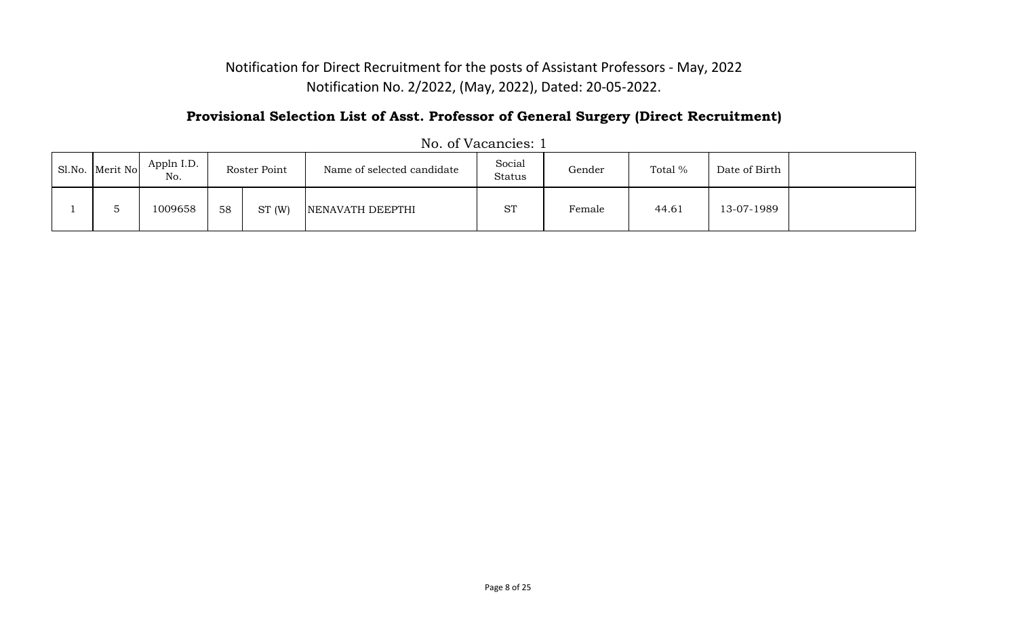### **Provisional Selection List of Asst. Professor of General Surgery (Direct Recruitment)**

| Sl.No. Merit No | Appln I.D.<br>No. |    | Roster Point | Name of selected candidate | Social<br>Status | Gender | Total % | Date of Birth |  |
|-----------------|-------------------|----|--------------|----------------------------|------------------|--------|---------|---------------|--|
|                 | 1009658           | 58 | ST(W)        | NENAVATH DEEPTHI           | <b>ST</b>        | Female | 44.61   | 13-07-1989    |  |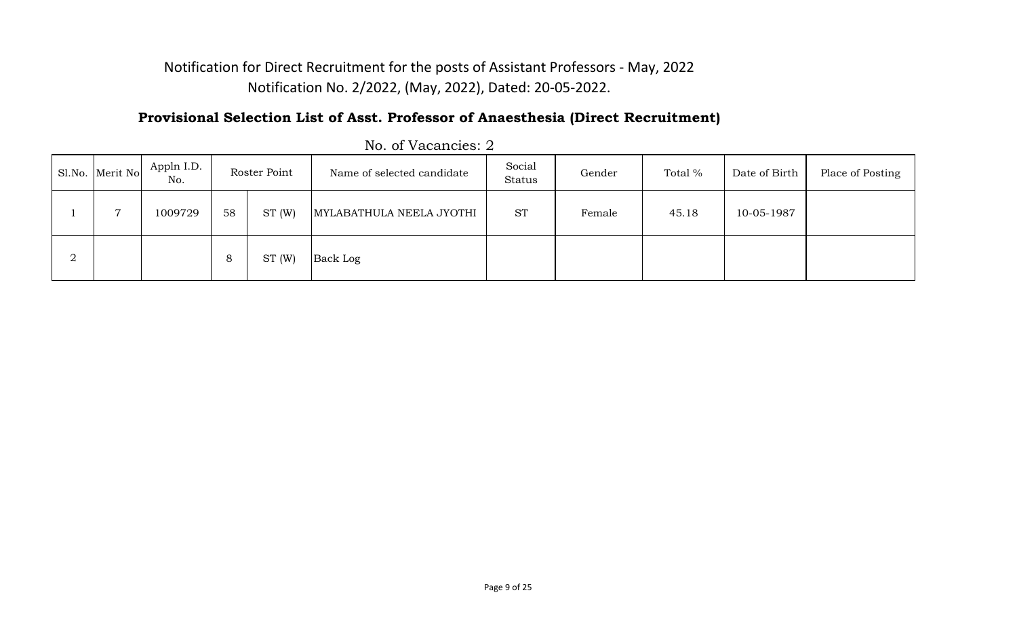### **Provisional Selection List of Asst. Professor of Anaesthesia (Direct Recruitment)**

|        | Sl.No. Merit No | Appln I.D.<br>No. |              | Roster Point | Name of selected candidate | Social<br>Status | Gender | Total % | Date of Birth | Place of Posting |
|--------|-----------------|-------------------|--------------|--------------|----------------------------|------------------|--------|---------|---------------|------------------|
|        |                 | 1009729           | 58           | ST(W)        | MYLABATHULA NEELA JYOTHI   | <b>ST</b>        | Female | 45.18   | 10-05-1987    |                  |
| ∩<br>∠ |                 |                   | Ο<br>$\circ$ | ST(W)        | Back Log                   |                  |        |         |               |                  |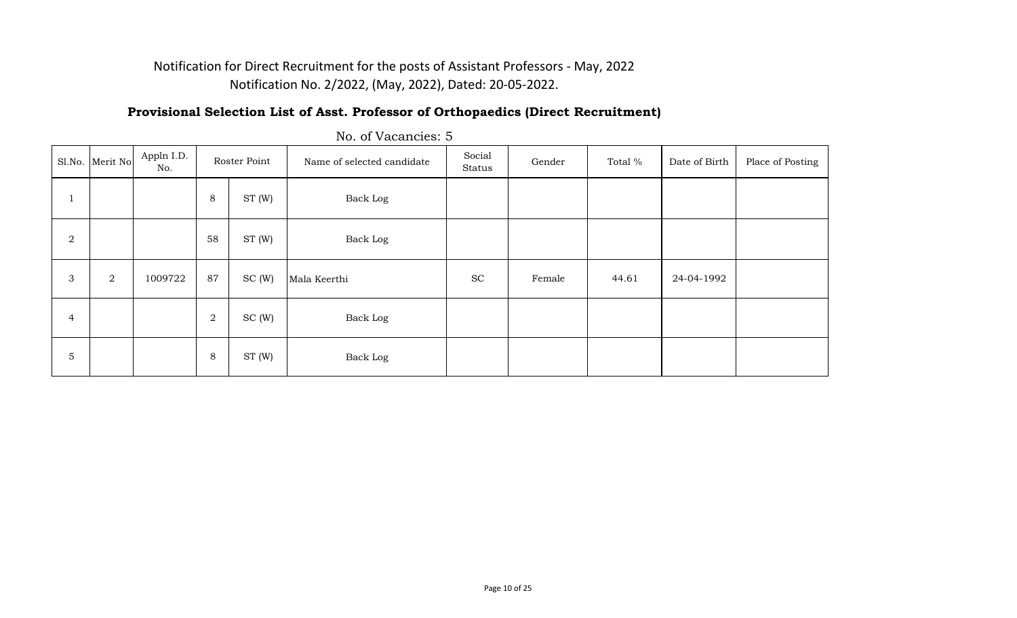#### **Provisional Selection List of Asst. Professor of Orthopaedics (Direct Recruitment)**

|                | Sl.No. Merit No | Appln I.D.<br>No. |         | Roster Point | Name of selected candidate | Social<br>Status | Gender | Total % | Date of Birth | Place of Posting |
|----------------|-----------------|-------------------|---------|--------------|----------------------------|------------------|--------|---------|---------------|------------------|
|                |                 |                   | 8       | ST(W)        | Back Log                   |                  |        |         |               |                  |
| $\overline{a}$ |                 |                   | 58      | ST(W)        | Back Log                   |                  |        |         |               |                  |
| 3              | $\overline{a}$  | 1009722           | 87      | SC(W)        | Mala Keerthi               | <b>SC</b>        | Female | 44.61   | 24-04-1992    |                  |
| $\overline{4}$ |                 |                   | 2       | SC(W)        | Back Log                   |                  |        |         |               |                  |
| $\sqrt{5}$     |                 |                   | $\,8\,$ | ST (W)       | Back Log                   |                  |        |         |               |                  |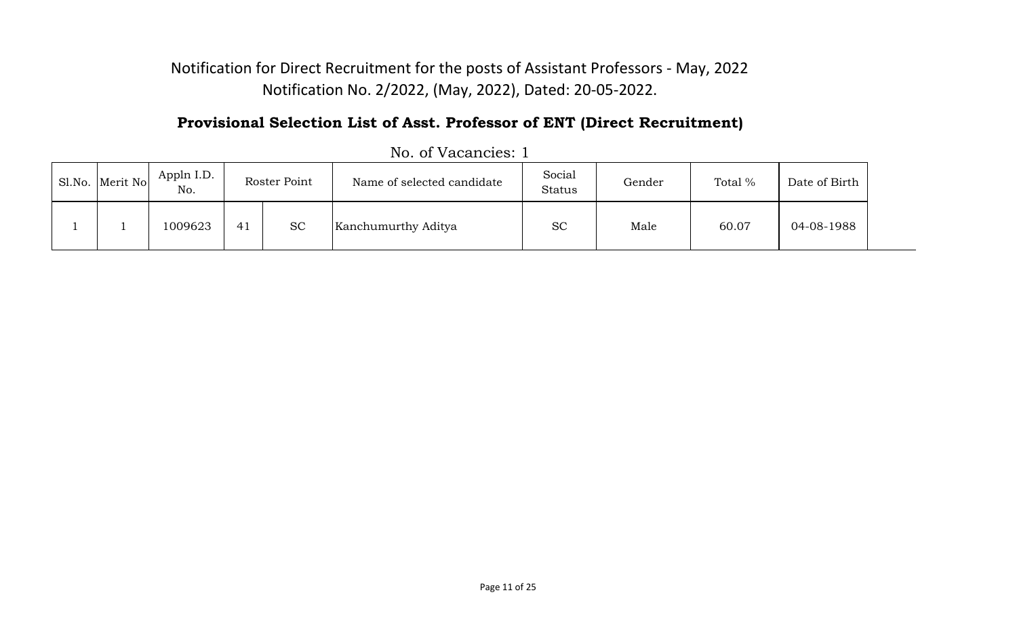### **Provisional Selection List of Asst. Professor of ENT (Direct Recruitment)**

| Sl.No. Merit No | Appln I.D.<br>No. |    | Roster Point | Name of selected candidate | Social<br>Status | Gender | Total % | Date of Birth |
|-----------------|-------------------|----|--------------|----------------------------|------------------|--------|---------|---------------|
|                 | 1009623           | 41 | <b>SC</b>    | Kanchumurthy Aditya        | <b>SC</b>        | Male   | 60.07   | 04-08-1988    |

No. of Vacancies: 1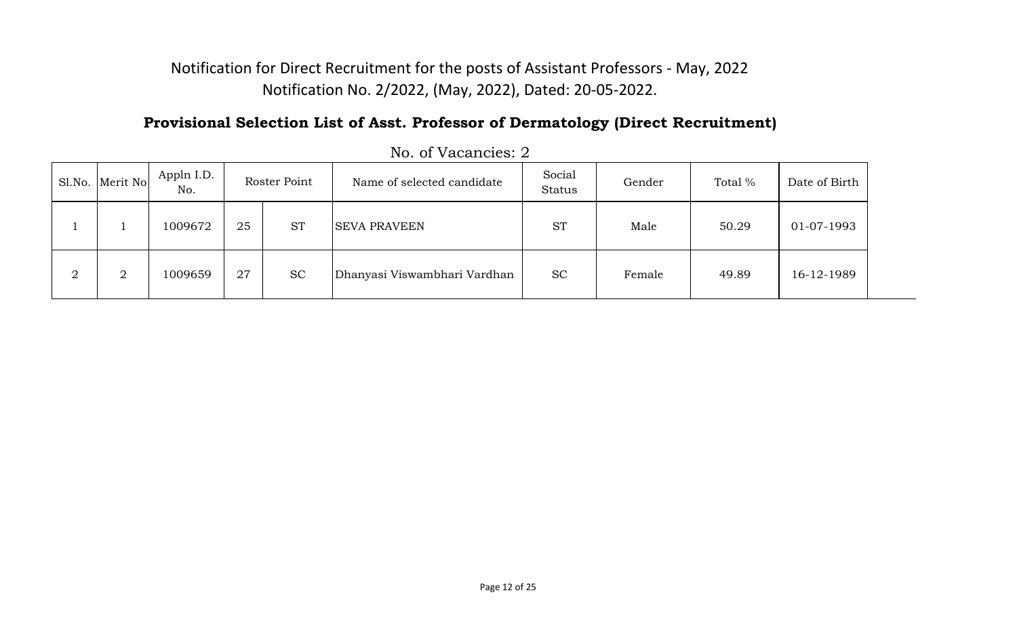### **Provisional Selection List of Asst. Professor of Dermatology (Direct Recruitment)**

|        | Sl.No. Merit No | Appln I.D.<br>No. |    | Roster Point | Name of selected candidate   | Social<br><b>Status</b> | Gender | Total % | Date of Birth |
|--------|-----------------|-------------------|----|--------------|------------------------------|-------------------------|--------|---------|---------------|
|        |                 | 1009672           | 25 | <b>ST</b>    | <b>SEVA PRAVEEN</b>          | <b>ST</b>               | Male   | 50.29   | 01-07-1993    |
| റ<br>∠ | $\overline{2}$  | 1009659           | 27 | <b>SC</b>    | Dhanyasi Viswambhari Vardhan | <b>SC</b>               | Female | 49.89   | 16-12-1989    |

No. of Vacancies: 2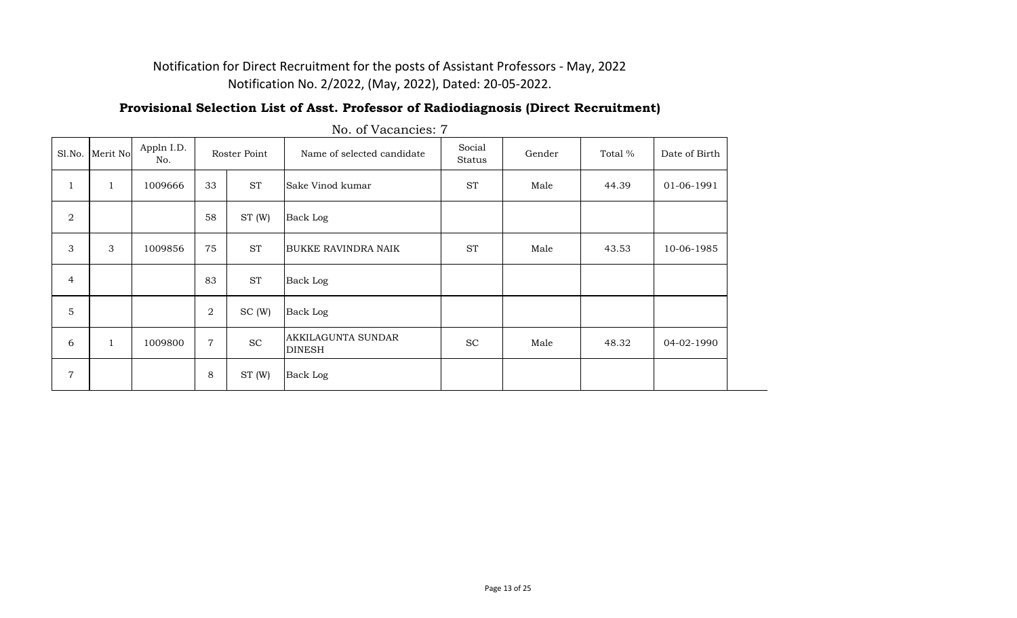#### **Provisional Selection List of Asst. Professor of Radiodiagnosis (Direct Recruitment)**

| Sl.No.         | Merit No       | Appln I.D.<br>No. |                | Roster Point                | Name of selected candidate          | Social<br>Status    | Gender | Total % | Date of Birth |
|----------------|----------------|-------------------|----------------|-----------------------------|-------------------------------------|---------------------|--------|---------|---------------|
| $\mathbf{1}$   | $\mathbf{1}$   | 1009666           | 33             | <b>ST</b>                   | Sake Vinod kumar                    | $\operatorname{ST}$ | Male   | 44.39   | 01-06-1991    |
| $\overline{2}$ |                |                   | 58             | ST(W)                       | Back Log                            |                     |        |         |               |
| 3              | $\mathfrak{Z}$ | 1009856           | 75             | <b>ST</b>                   | <b>BUKKE RAVINDRA NAIK</b>          | <b>ST</b>           | Male   | 43.53   | 10-06-1985    |
| $\overline{4}$ |                |                   | 83             | <b>ST</b>                   | Back Log                            |                     |        |         |               |
| 5              |                |                   | $\overline{2}$ | SC(W)                       | Back Log                            |                     |        |         |               |
| 6              | $\mathbf{1}$   | 1009800           | 7              | $\protect\operatorname{SC}$ | AKKILAGUNTA SUNDAR<br><b>DINESH</b> | <b>SC</b>           | Male   | 48.32   | 04-02-1990    |
| $\overline{7}$ |                |                   | $\,8\,$        | ST(W)                       | Back Log                            |                     |        |         |               |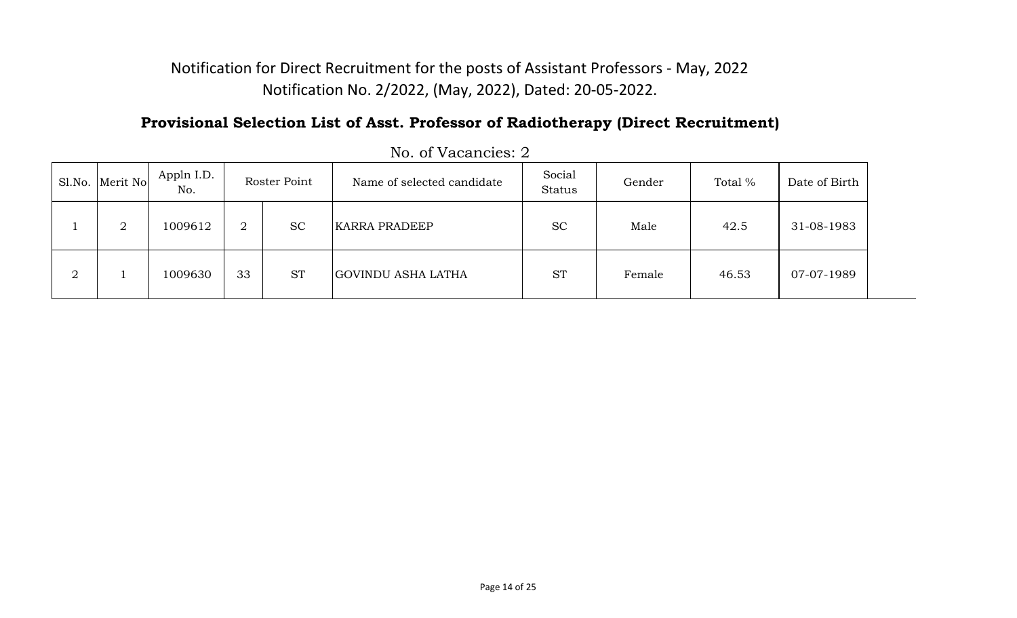### **Provisional Selection List of Asst. Professor of Radiotherapy (Direct Recruitment)**

|        | Sl.No. Merit No | Appln I.D.<br>No. | Roster Point |           | Name of selected candidate | Social<br><b>Status</b> | Gender | Total % | Date of Birth |
|--------|-----------------|-------------------|--------------|-----------|----------------------------|-------------------------|--------|---------|---------------|
|        | $\overline{2}$  | 1009612           | ∩<br>∠       | <b>SC</b> | <b>KARRA PRADEEP</b>       | <b>SC</b>               | Male   | 42.5    | 31-08-1983    |
| റ<br>∠ |                 | 1009630           | 33           | <b>ST</b> | GOVINDU ASHA LATHA         | <b>ST</b>               | Female | 46.53   | 07-07-1989    |

No. of Vacancies: 2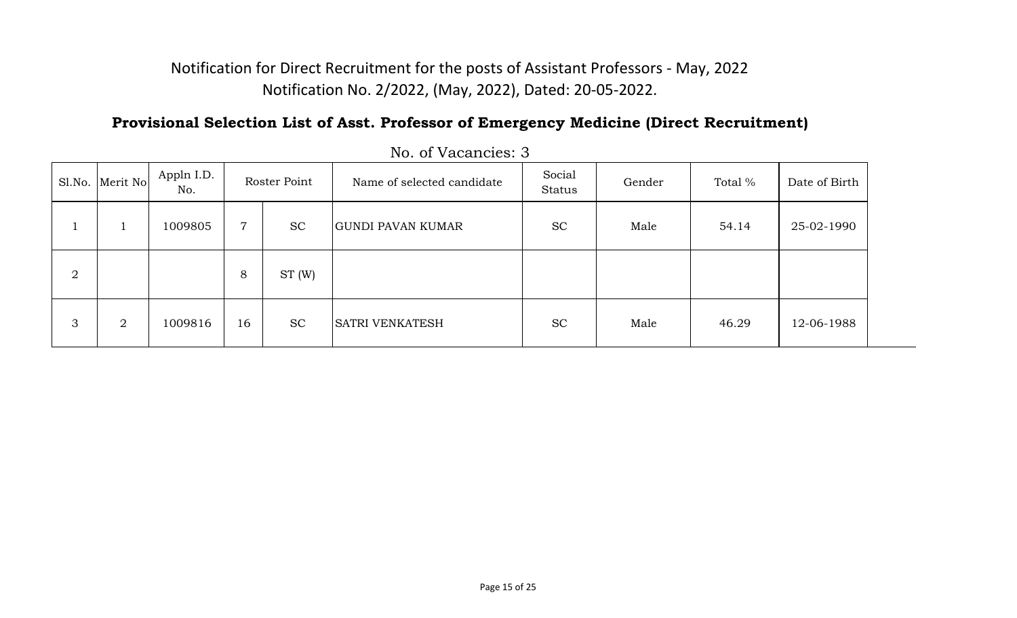### **Provisional Selection List of Asst. Professor of Emergency Medicine (Direct Recruitment)**

|                | Sl.No. Merit No | Appln I.D.<br>No. |                | Roster Point | Name of selected candidate | Social<br>Status | Gender | Total % | Date of Birth |  |
|----------------|-----------------|-------------------|----------------|--------------|----------------------------|------------------|--------|---------|---------------|--|
|                |                 | 1009805           | $\overline{7}$ | <b>SC</b>    | <b>GUNDI PAVAN KUMAR</b>   | <b>SC</b>        | Male   | 54.14   | 25-02-1990    |  |
| $\overline{2}$ |                 |                   | 8              | ST(W)        |                            |                  |        |         |               |  |
| 3              | $\overline{2}$  | 1009816           | 16             | <b>SC</b>    | <b>SATRI VENKATESH</b>     | <b>SC</b>        | Male   | 46.29   | 12-06-1988    |  |

No. of Vacancies: 3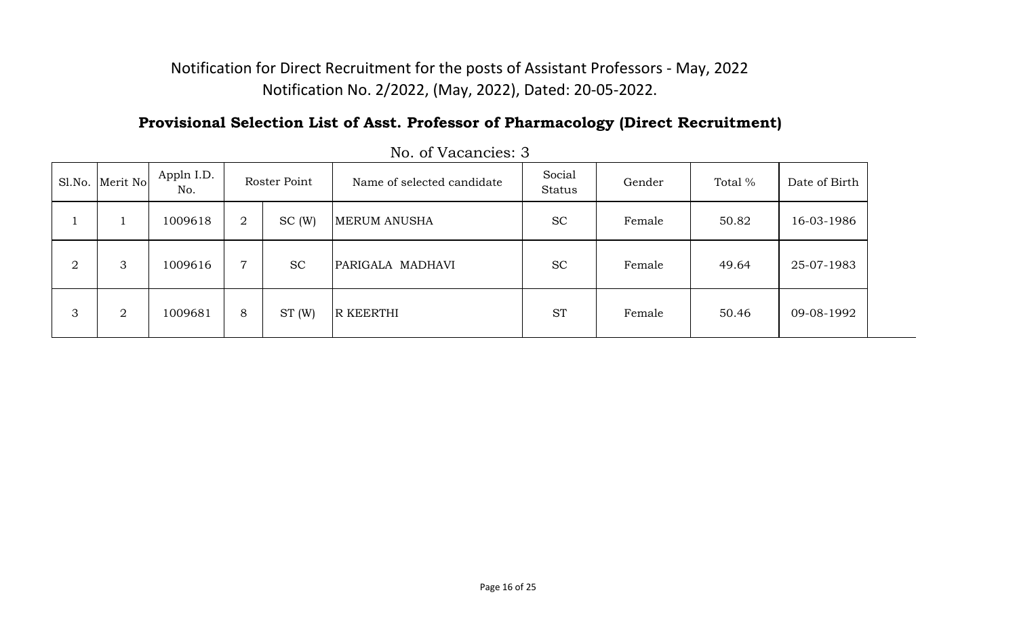### **Provisional Selection List of Asst. Professor of Pharmacology (Direct Recruitment)**

|                | Sl.No. Merit No | Appln I.D.<br>No. | Roster Point |           | Name of selected candidate | Social<br>Status | Gender | Total % | Date of Birth |  |  |
|----------------|-----------------|-------------------|--------------|-----------|----------------------------|------------------|--------|---------|---------------|--|--|
|                |                 | 1009618           | 2            | SC(W)     | <b>MERUM ANUSHA</b>        | <b>SC</b>        | Female | 50.82   | 16-03-1986    |  |  |
| $\overline{2}$ | 3               | 1009616           | 7            | <b>SC</b> | PARIGALA MADHAVI           | <b>SC</b>        | Female | 49.64   | 25-07-1983    |  |  |
| 3              | 2               | 1009681           | 8            | ST(W)     | <b>R KEERTHI</b>           | <b>ST</b>        | Female | 50.46   | 09-08-1992    |  |  |

No. of Vacancies: 3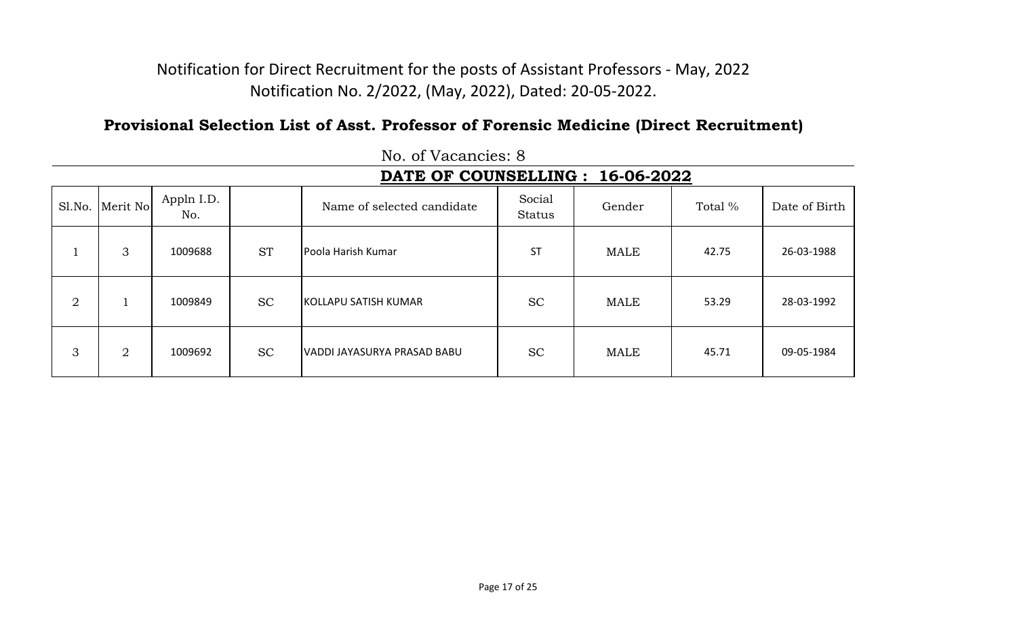### **Provisional Selection List of Asst. Professor of Forensic Medicine (Direct Recruitment)**

|                |                |                   |           | DATE OF COUNSELLING :       |                         | 16-06-2022  |         |               |
|----------------|----------------|-------------------|-----------|-----------------------------|-------------------------|-------------|---------|---------------|
| Sl.No.         | Merit No       | Appln I.D.<br>No. |           | Name of selected candidate  | Social<br><b>Status</b> | Gender      | Total % | Date of Birth |
|                | 3              | 1009688           | <b>ST</b> | Poola Harish Kumar          | <b>ST</b>               | <b>MALE</b> | 42.75   | 26-03-1988    |
| $\overline{2}$ |                | 1009849           | <b>SC</b> | <b>KOLLAPU SATISH KUMAR</b> | <b>SC</b>               | <b>MALE</b> | 53.29   | 28-03-1992    |
| 3              | $\overline{2}$ | 1009692           | <b>SC</b> | VADDI JAYASURYA PRASAD BABU | <b>SC</b>               | <b>MALE</b> | 45.71   | 09-05-1984    |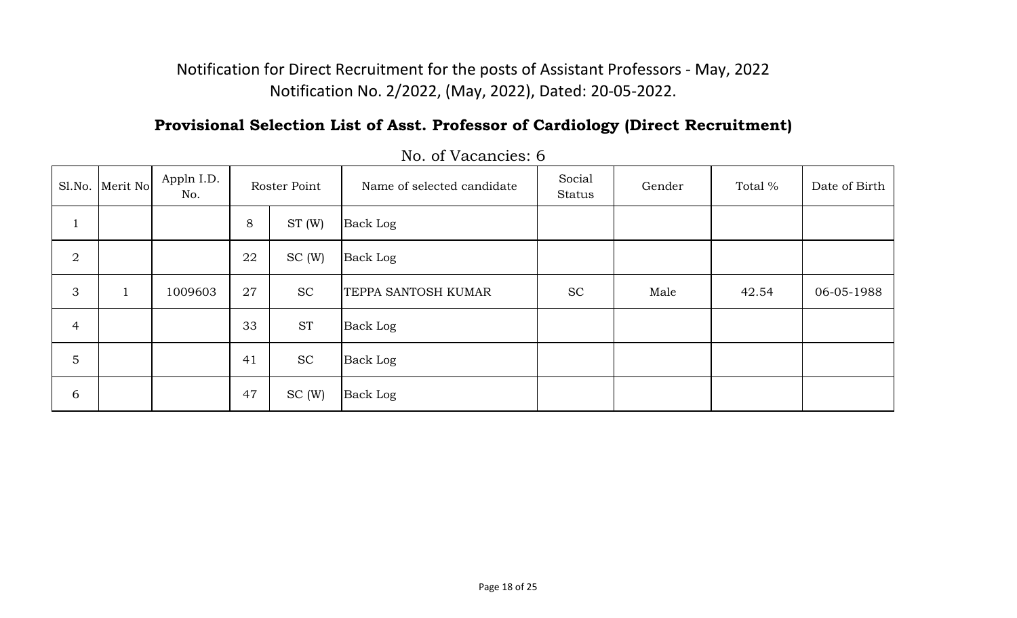# **Provisional Selection List of Asst. Professor of Cardiology (Direct Recruitment)**

| S1.No.         | Merit No     | Appln I.D.<br>No. |    | Roster Point | Name of selected candidate | Social<br>Status | Gender | Total % | Date of Birth |
|----------------|--------------|-------------------|----|--------------|----------------------------|------------------|--------|---------|---------------|
|                |              |                   | 8  | ST(W)        | Back Log                   |                  |        |         |               |
| $\overline{2}$ |              |                   | 22 | SC(W)        | Back Log                   |                  |        |         |               |
| 3              | $\mathbf{1}$ | 1009603           | 27 | <b>SC</b>    | TEPPA SANTOSH KUMAR        | <b>SC</b>        | Male   | 42.54   | 06-05-1988    |
| $\overline{4}$ |              |                   | 33 | <b>ST</b>    | Back Log                   |                  |        |         |               |
| 5              |              |                   | 41 | <b>SC</b>    | Back Log                   |                  |        |         |               |
| $\sqrt{6}$     |              |                   | 47 | SC(W)        | Back Log                   |                  |        |         |               |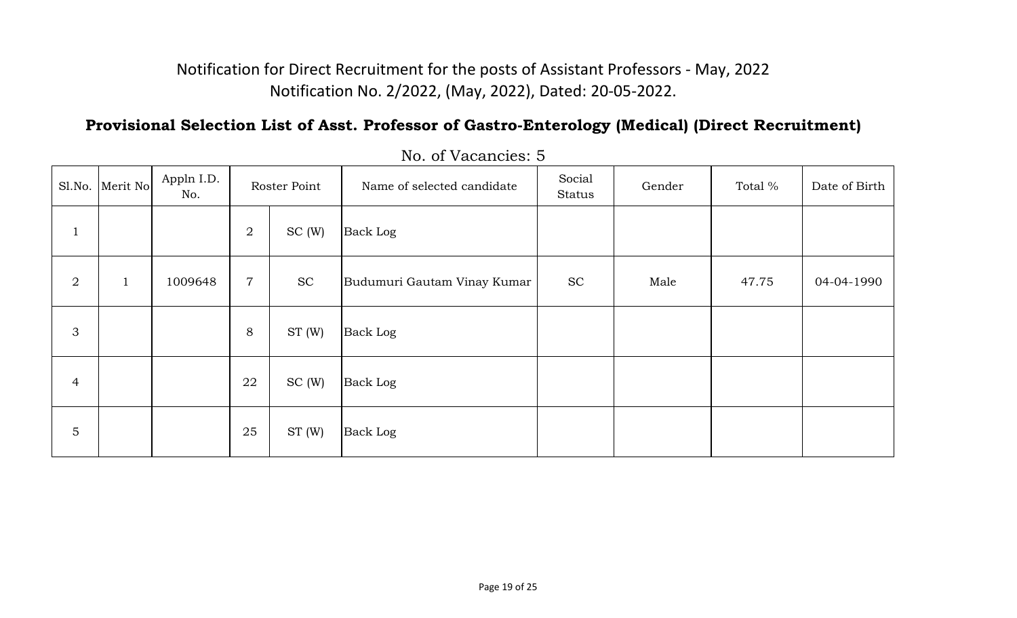## **Provisional Selection List of Asst. Professor of Gastro-Enterology (Medical) (Direct Recruitment)**

|                | Sl.No. Merit No | Appln I.D.<br>No. | Roster Point     |           | Name of selected candidate  | Social<br><b>Status</b> | Gender | Total % | Date of Birth |
|----------------|-----------------|-------------------|------------------|-----------|-----------------------------|-------------------------|--------|---------|---------------|
| $\perp$        |                 |                   | $\overline{2}$   | SC(W)     | <b>Back Log</b>             |                         |        |         |               |
| $\overline{2}$ | $\mathbf{1}$    | 1009648           | $\boldsymbol{7}$ | <b>SC</b> | Budumuri Gautam Vinay Kumar | <b>SC</b>               | Male   | 47.75   | 04-04-1990    |
| 3              |                 |                   | 8                | ST(W)     | <b>Back Log</b>             |                         |        |         |               |
| 4              |                 |                   | 22               | SC(W)     | <b>Back Log</b>             |                         |        |         |               |
| $\mathbf 5$    |                 |                   | 25               | ST(W)     | <b>Back Log</b>             |                         |        |         |               |

No. of Vacancies: 5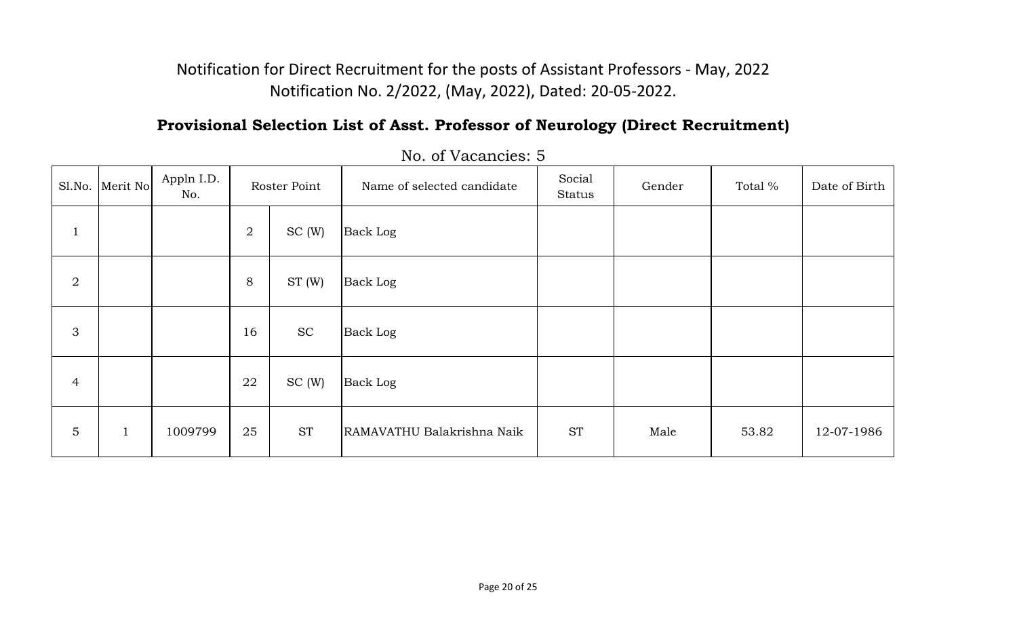## **Provisional Selection List of Asst. Professor of Neurology (Direct Recruitment)**

|                | Sl.No.   Merit No | Appln I.D.<br>No. | Roster Point     |           | Name of selected candidate | Social<br>Status | Gender | Total % | Date of Birth |
|----------------|-------------------|-------------------|------------------|-----------|----------------------------|------------------|--------|---------|---------------|
| $\pm$          |                   |                   | $\boldsymbol{2}$ | SC(W)     | <b>Back Log</b>            |                  |        |         |               |
| $\overline{2}$ |                   |                   | 8                | ST(W)     | <b>Back Log</b>            |                  |        |         |               |
| 3              |                   |                   | 16               | <b>SC</b> | <b>Back Log</b>            |                  |        |         |               |
| $\overline{4}$ |                   |                   | 22               | SC(W)     | <b>Back Log</b>            |                  |        |         |               |
| $\overline{5}$ | $\mathbf{1}$      | 1009799           | 25               | <b>ST</b> | RAMAVATHU Balakrishna Naik | <b>ST</b>        | Male   | 53.82   | 12-07-1986    |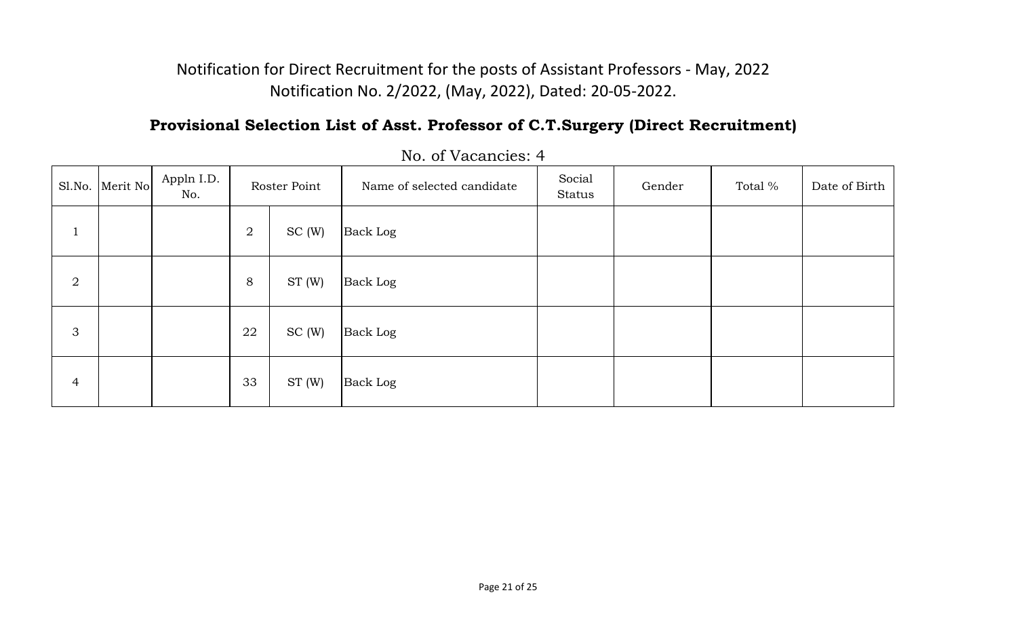# **Provisional Selection List of Asst. Professor of C.T.Surgery (Direct Recruitment)**

|                | Sl.No. Merit No | Appln I.D.<br>No. |                | Roster Point | Name of selected candidate | Social<br>Status | Gender | Total % | Date of Birth |
|----------------|-----------------|-------------------|----------------|--------------|----------------------------|------------------|--------|---------|---------------|
| <b>L</b>       |                 |                   | $\overline{2}$ | SC(W)        | <b>Back Log</b>            |                  |        |         |               |
| $\overline{2}$ |                 |                   | 8              | ST(W)        | <b>Back Log</b>            |                  |        |         |               |
| $\mathfrak{Z}$ |                 |                   | 22             | SC(W)        | <b>Back Log</b>            |                  |        |         |               |
| $\overline{4}$ |                 |                   | 33             | ST(W)        | <b>Back Log</b>            |                  |        |         |               |

No. of Vacancies: 4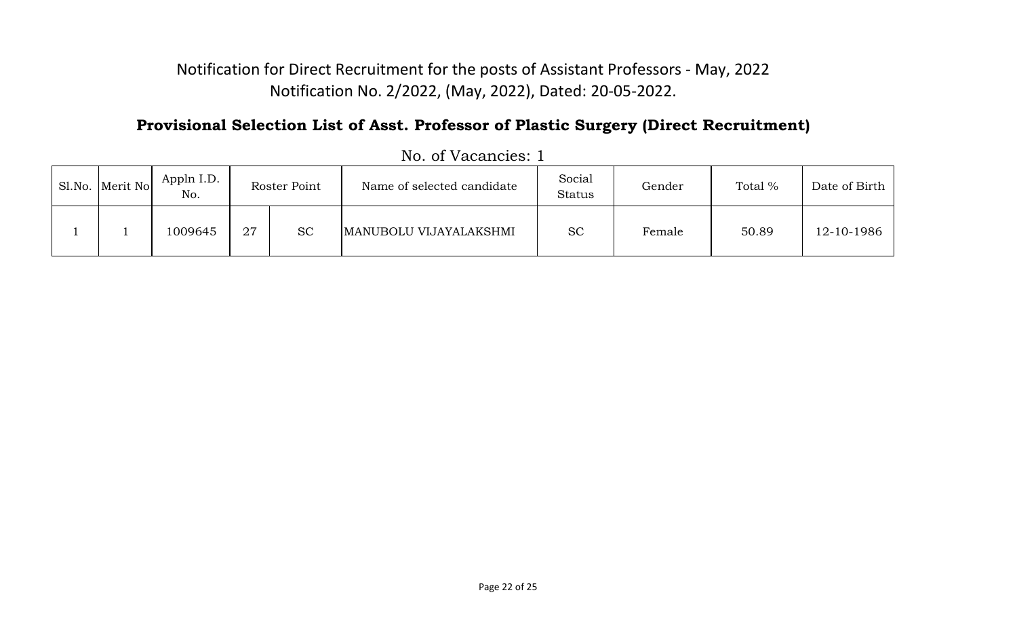# **Provisional Selection List of Asst. Professor of Plastic Surgery (Direct Recruitment)**

| Sl.No. Merit No | Appln I.D.<br>No. |    | Roster Point | Name of selected candidate | Social<br><b>Status</b> | Gender | Total % | Date of Birth |
|-----------------|-------------------|----|--------------|----------------------------|-------------------------|--------|---------|---------------|
|                 | 1009645           | 27 | <b>SC</b>    | MANUBOLU VIJAYALAKSHMI     | <b>SC</b>               | Female | 50.89   | 12-10-1986    |

|  | No. of Vacancies: 1 |
|--|---------------------|
|--|---------------------|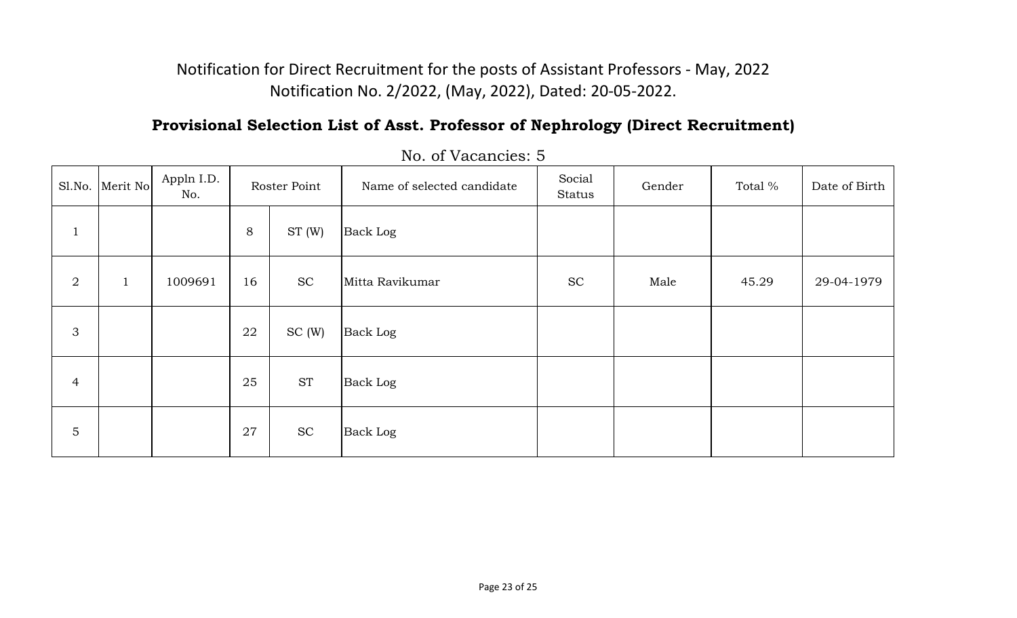# **Provisional Selection List of Asst. Professor of Nephrology (Direct Recruitment)**

|                  | Sl.No. Merit No | Appln I.D.<br>No. |    | Roster Point | Name of selected candidate | Social<br>Status | Gender | Total % | Date of Birth |
|------------------|-----------------|-------------------|----|--------------|----------------------------|------------------|--------|---------|---------------|
| $\mathbf{1}$     |                 |                   | 8  | ST(W)        | <b>Back Log</b>            |                  |        |         |               |
| $\boldsymbol{2}$ | $\mathbf{1}$    | 1009691           | 16 | <b>SC</b>    | Mitta Ravikumar            | <b>SC</b>        | Male   | 45.29   | 29-04-1979    |
| $\mathfrak{S}$   |                 |                   | 22 | SC(W)        | <b>Back Log</b>            |                  |        |         |               |
| $\overline{4}$   |                 |                   | 25 | <b>ST</b>    | <b>Back Log</b>            |                  |        |         |               |
| 5                |                 |                   | 27 | <b>SC</b>    | <b>Back Log</b>            |                  |        |         |               |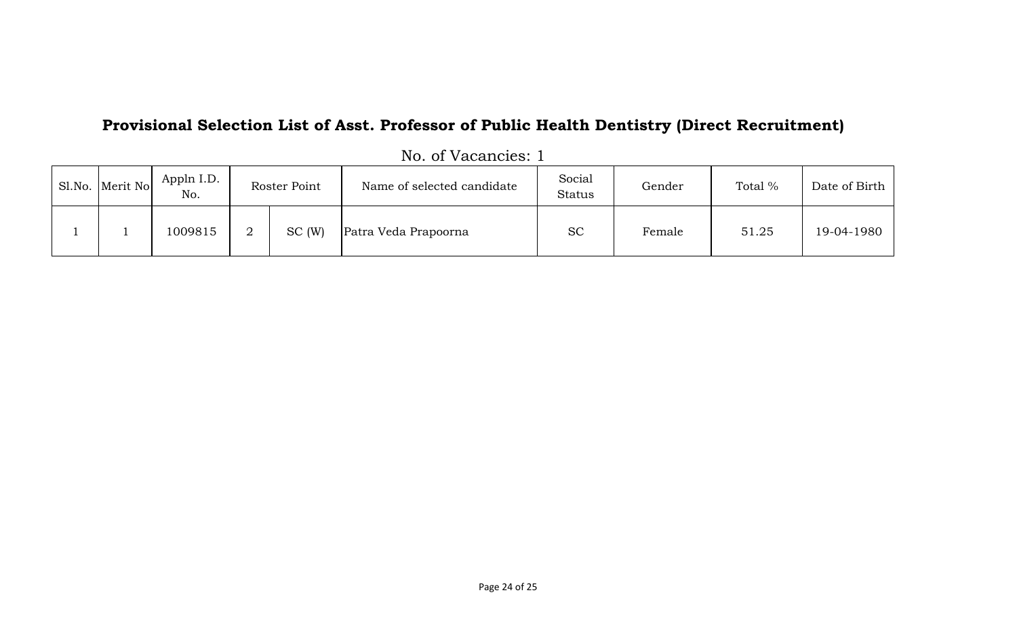# **Provisional Selection List of Asst. Professor of Public Health Dentistry (Direct Recruitment)**

| Sl.No. Merit No | Appln I.D.<br>No. | Roster Point | Name of selected candidate | Social<br><b>Status</b> | Gender | Total % | Date of Birth |
|-----------------|-------------------|--------------|----------------------------|-------------------------|--------|---------|---------------|
|                 | 1009815           | SC(W)        | Patra Veda Prapoorna       | <b>SC</b>               | Female | 51.25   | 19-04-1980    |

|  | No. of Vacancies: 1 |  |
|--|---------------------|--|
|  |                     |  |